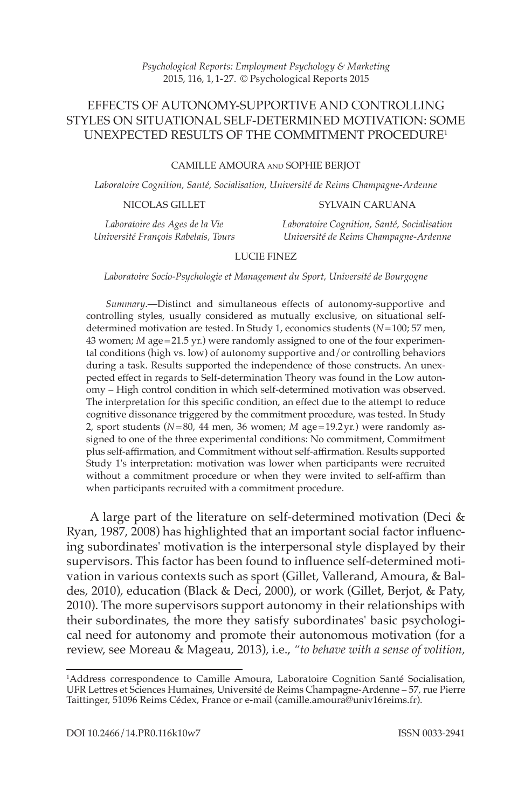# EFFECTS OF AUTONOMY-SUPPORTIVE AND CONTROLLING STYLES ON SITUATIONAL SELF-DETERMINED MOTIVATION: SOME UNEXPECTED RESULTS OF THE COMMITMENT PROCEDURE<sup>1</sup>

#### CAMILLE AMOURA AND SOPHIE BERJOT

*Laboratoire Cognition, Santé, Socialisation, Université de Reims Champagne-Ardenne*

NICOLAS GILLET

#### SYLVAIN CARUANA

*Laboratoire des Ages de la Vie Université François Rabelais, Tours* *Laboratoire Cognition, Santé, Socialisation Université de Reims Champagne-Ardenne*

### LUCIE FINEZ

 *Laboratoire Socio-Psychologie et Management du Sport, Université de Bourgogne* 

*Summary*.-Distinct and simultaneous effects of autonomy-supportive and controlling styles, usually considered as mutually exclusive, on situational selfdetermined motivation are tested. In Study 1, economics students ( $N=100$ ; 57 men, 43 women; *M* age = 21.5 yr.) were randomly assigned to one of the four experimental conditions (high vs. low) of autonomy supportive and/or controlling behaviors during a task. Results supported the independence of those constructs. An unexpected effect in regards to Self-determination Theory was found in the Low autonomy – High control condition in which self-determined motivation was observed. The interpretation for this specific condition, an effect due to the attempt to reduce cognitive dissonance triggered by the commitment procedure, was tested. In Study 2, sport students ( $N=80$ , 44 men, 36 women;  $M$  age = 19.2 yr.) were randomly assigned to one of the three experimental conditions: No commitment, Commitment plus self-affirmation, and Commitment without self-affirmation. Results supported Study 1's interpretation: motivation was lower when participants were recruited without a commitment procedure or when they were invited to self-affirm than when participants recruited with a commitment procedure.

A large part of the literature on self-determined motivation (Deci  $&$ Ryan, 1987, 2008) has highlighted that an important social factor influencing subordinates' motivation is the interpersonal style displayed by their supervisors. This factor has been found to influence self-determined motivation in various contexts such as sport ( Gillet, Vallerand, Amoura, & Baldes, 2010), education (Black & Deci, 2000), or work (Gillet, Berjot, & Paty, 2010). The more supervisors support autonomy in their relationships with their subordinates, the more they satisfy subordinates' basic psychological need for autonomy and promote their autonomous motivation (for a review, see Moreau & Mageau, 2013 ), i.e., *"to behave with a sense of volition,* 

<sup>1</sup> Address correspondence to Camille Amoura, Laboratoire Cognition Santé Socialisation, UFR Lettres et Sciences Humaines, Université de Reims Champagne-Ardenne – 57, rue Pierre Taittinger, 51096 Reims Cédex, France or e-mail (camille.amoura@univ16reims.fr).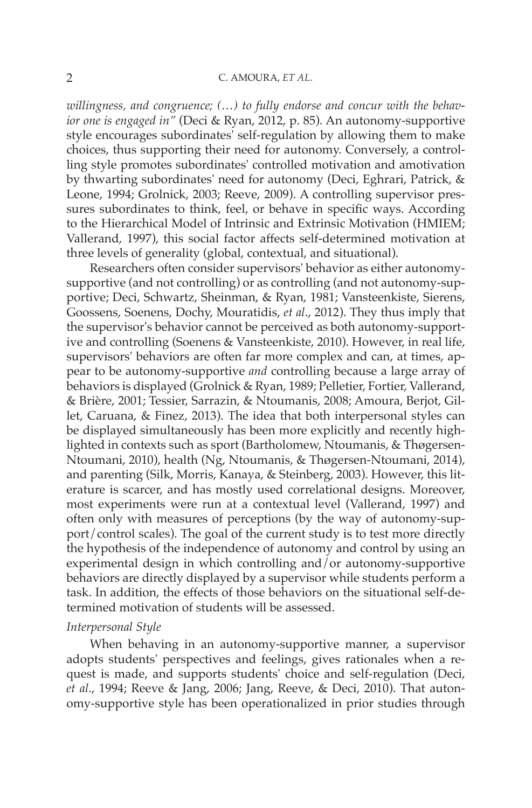#### 2 C. AMOURA, *ET AL.*

*willingness, and congruence; (…) to fully endorse and concur with the behav*ior one is engaged in" (Deci & Ryan, 2012, p. 85). An autonomy-supportive style encourages subordinates' self-regulation by allowing them to make choices, thus supporting their need for autonomy. Conversely, a controlling style promotes subordinates' controlled motivation and amotivation by thwarting subordinates' need for autonomy (Deci, Eghrari, Patrick, & Leone, 1994; Grolnick, 2003; Reeve, 2009). A controlling supervisor pressures subordinates to think, feel, or behave in specific ways. According to the Hierarchical Model of Intrinsic and Extrinsic Motivation (HMIEM; Vallerand, 1997), this social factor affects self-determined motivation at three levels of generality (global, contextual, and situational).

 Researchers often consider supervisors' behavior as either autonomysupportive (and not controlling) or as controlling (and not autonomy-supportive; Deci, Schwartz, Sheinman, & Ryan, 1981; Vansteenkiste, Sierens, Goossens, Soenens, Dochy, Mouratidis, et al., 2012). They thus imply that the supervisor's behavior cannot be perceived as both autonomy-supportive and controlling (Soenens & Vansteenkiste, 2010). However, in real life, supervisors' behaviors are often far more complex and can, at times, appear to be autonomy-supportive *and* controlling because a large array of behaviors is displayed (Grolnick & Ryan, 1989; Pelletier, Fortier, Vallerand, & Brière, 2001 ; Tessier, Sarrazin, & Ntoumanis, 2008 ; Amoura, Berjot, Gillet, Caruana, & Finez, 2013). The idea that both interpersonal styles can be displayed simultaneously has been more explicitly and recently highlighted in contexts such as sport ( Bartholomew, Ntoumanis, & Thøgersen-Ntoumani, 2010), health (Ng, Ntoumanis, & Thøgersen-Ntoumani, 2014), and parenting (Silk, Morris, Kanaya, & Steinberg, 2003). However, this literature is scarcer, and has mostly used correlational designs. Moreover, most experiments were run at a contextual level (Vallerand, 1997) and often only with measures of perceptions (by the way of autonomy-support/control scales). The goal of the current study is to test more directly the hypothesis of the independence of autonomy and control by using an experimental design in which controlling and/or autonomy-supportive behaviors are directly displayed by a supervisor while students perform a task. In addition, the effects of those behaviors on the situational self-determined motivation of students will be assessed.

#### *Interpersonal Style*

 When behaving in an autonomy-supportive manner, a supervisor adopts students' perspectives and feelings, gives rationales when a request is made, and supports students' choice and self-regulation (Deci, *et al.*, 1994; Reeve & Jang, 2006; Jang, Reeve, & Deci, 2010). That autonomy-supportive style has been operationalized in prior studies through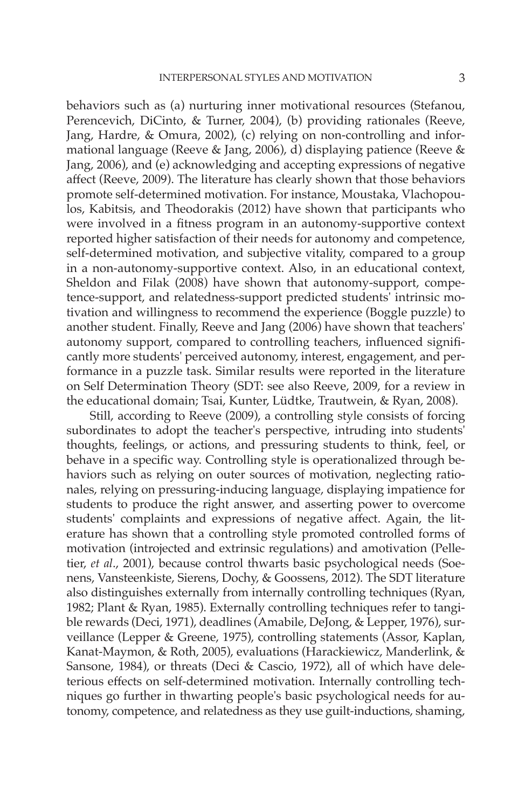behaviors such as (a) nurturing inner motivational resources (Stefanou, Perencevich, DiCinto, & Turner, 2004), (b) providing rationales (Reeve, Jang, Hardre, & Omura, 2002), (c) relying on non-controlling and informational language (Reeve & Jang, 2006), d) displaying patience (Reeve & Jang, 2006), and (e) acknowledging and accepting expressions of negative affect (Reeve, 2009). The literature has clearly shown that those behaviors promote self-determined motivation. For instance, Moustaka, Vlachopoulos, Kabitsis, and Theodorakis (2012 ) have shown that participants who were involved in a fitness program in an autonomy-supportive context reported higher satisfaction of their needs for autonomy and competence, self-determined motivation, and subjective vitality, compared to a group in a non-autonomy-supportive context. Also, in an educational context, Sheldon and Filak (2008) have shown that autonomy-support, competence-support, and relatedness-support predicted students' intrinsic motivation and willingness to recommend the experience (Boggle puzzle) to another student. Finally, Reeve and Jang (2006 ) have shown that teachers' autonomy support, compared to controlling teachers, influenced significantly more students' perceived autonomy, interest, engagement, and performance in a puzzle task. Similar results were reported in the literature on Self Determination Theory (SDT: see also Reeve, 2009 , for a review in the educational domain; Tsai, Kunter, Lüdtke, Trautwein, & Ryan, 2008 ).

 Still, according to Reeve (2009 ), a controlling style consists of forcing subordinates to adopt the teacher's perspective, intruding into students' thoughts, feelings, or actions, and pressuring students to think, feel, or behave in a specific way. Controlling style is operationalized through behaviors such as relying on outer sources of motivation, neglecting rationales, relying on pressuring-inducing language, displaying impatience for students to produce the right answer, and asserting power to overcome students' complaints and expressions of negative affect. Again, the literature has shown that a controlling style promoted controlled forms of motivation (introjected and extrinsic regulations) and amotivation ( Pelletier, *et al.*, 2001), because control thwarts basic psychological needs (Soenens, Vansteenkiste, Sierens, Dochy, & Goossens, 2012 ). The SDT literature also distinguishes externally from internally controlling techniques ( Ryan, 1982; Plant & Ryan, 1985). Externally controlling techniques refer to tangible rewards (Deci, 1971), deadlines (Amabile, DeJong, & Lepper, 1976), surveillance (Lepper & Greene, 1975), controlling statements (Assor, Kaplan, Kanat-Maymon, & Roth, 2005 ), evaluations ( Harackiewicz, Manderlink, & Sansone, 1984), or threats (Deci & Cascio, 1972), all of which have deleterious effects on self-determined motivation. Internally controlling techniques go further in thwarting people's basic psychological needs for autonomy, competence, and relatedness as they use guilt-inductions, shaming,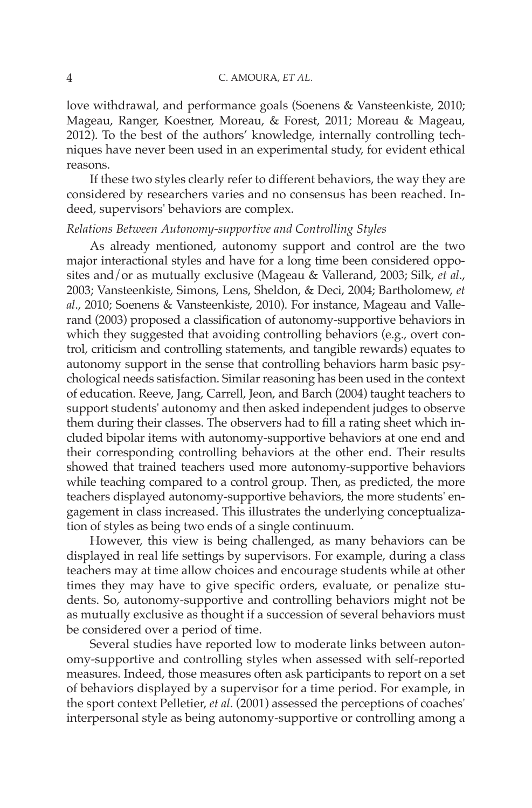love withdrawal, and performance goals (Soenens & Vansteenkiste, 2010; Mageau, Ranger, Koestner, Moreau, & Forest, 2011; Moreau & Mageau, 2012). To the best of the authors' knowledge, internally controlling techniques have never been used in an experimental study, for evident ethical reasons.

If these two styles clearly refer to different behaviors, the way they are considered by researchers varies and no consensus has been reached. Indeed, supervisors' behaviors are complex.

# *Relations Between Autonomy-supportive and Controlling Styles*

 As already mentioned, autonomy support and control are the two major interactional styles and have for a long time been considered opposites and/or as mutually exclusive (Mageau & Vallerand, 2003; Silk, *et al.*, 2003; Vansteenkiste, Simons, Lens, Sheldon, & Deci, 2004; Bartholomew, et al., 2010; Soenens & Vansteenkiste, 2010). For instance, Mageau and Vallerand (2003) proposed a classification of autonomy-supportive behaviors in which they suggested that avoiding controlling behaviors (e.g., overt control, criticism and controlling statements, and tangible rewards) equates to autonomy support in the sense that controlling behaviors harm basic psychological needs satisfaction. Similar reasoning has been used in the context of education. Reeve, Jang, Carrell, Jeon, and Barch (2004 ) taught teachers to support students' autonomy and then asked independent judges to observe them during their classes. The observers had to fill a rating sheet which included bipolar items with autonomy-supportive behaviors at one end and their corresponding controlling behaviors at the other end. Their results showed that trained teachers used more autonomy-supportive behaviors while teaching compared to a control group. Then, as predicted, the more teachers displayed autonomy-supportive behaviors, the more students' engagement in class increased. This illustrates the underlying conceptualization of styles as being two ends of a single continuum.

 However, this view is being challenged, as many behaviors can be displayed in real life settings by supervisors. For example, during a class teachers may at time allow choices and encourage students while at other times they may have to give specific orders, evaluate, or penalize students. So, autonomy-supportive and controlling behaviors might not be as mutually exclusive as thought if a succession of several behaviors must be considered over a period of time.

 Several studies have reported low to moderate links between autonomy-supportive and controlling styles when assessed with self-reported measures. Indeed, those measures often ask participants to report on a set of behaviors displayed by a supervisor for a time period. For example, in the sport context Pelletier, *et al* . (2001 ) assessed the perceptions of coaches' interpersonal style as being autonomy-supportive or controlling among a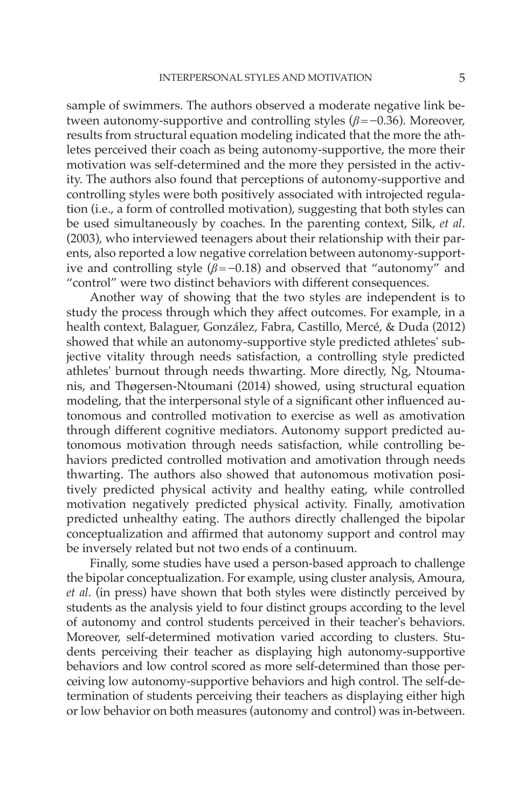sample of swimmers. The authors observed a moderate negative link between autonomy-supportive and controlling styles  $(\beta = -0.36)$ . Moreover, results from structural equation modeling indicated that the more the athletes perceived their coach as being autonomy-supportive, the more their motivation was self-determined and the more they persisted in the activity. The authors also found that perceptions of autonomy-supportive and controlling styles were both positively associated with introjected regulation (i.e., a form of controlled motivation), suggesting that both styles can be used simultaneously by coaches. In the parenting context, Silk, *et al* . (2003 ), who interviewed teenagers about their relationship with their parents, also reported a low negative correlation between autonomy-supportive and controlling style ( $\beta$ =-0.18) and observed that "autonomy" and "control" were two distinct behaviors with different consequences.

 Another way of showing that the two styles are independent is to study the process through which they affect outcomes. For example, in a health context, Balaguer, González, Fabra, Castillo, Mercé, & Duda (2012) showed that while an autonomy-supportive style predicted athletes' subjective vitality through needs satisfaction, a controlling style predicted athletes' burnout through needs thwarting. More directly, Ng, Ntoumanis, and Thøgersen-Ntoumani (2014) showed, using structural equation modeling, that the interpersonal style of a significant other influenced autonomous and controlled motivation to exercise as well as amotivation through different cognitive mediators. Autonomy support predicted autonomous motivation through needs satisfaction, while controlling behaviors predicted controlled motivation and amotivation through needs thwarting. The authors also showed that autonomous motivation positively predicted physical activity and healthy eating, while controlled motivation negatively predicted physical activity. Finally, amotivation predicted unhealthy eating. The authors directly challenged the bipolar conceptualization and affirmed that autonomy support and control may be inversely related but not two ends of a continuum.

 Finally, some studies have used a person-based approach to challenge the bipolar conceptualization. For example, using cluster analysis, Amoura, *et al* . (in press) have shown that both styles were distinctly perceived by students as the analysis yield to four distinct groups according to the level of autonomy and control students perceived in their teacher's behaviors. Moreover, self-determined motivation varied according to clusters. Students perceiving their teacher as displaying high autonomy-supportive behaviors and low control scored as more self-determined than those perceiving low autonomy-supportive behaviors and high control. The self-determination of students perceiving their teachers as displaying either high or low behavior on both measures (autonomy and control) was in-between.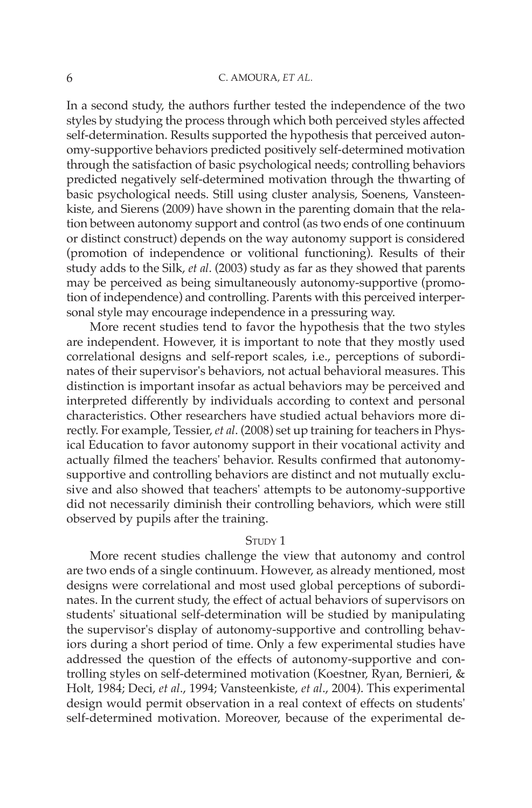In a second study, the authors further tested the independence of the two styles by studying the process through which both perceived styles affected self-determination. Results supported the hypothesis that perceived autonomy-supportive behaviors predicted positively self-determined motivation through the satisfaction of basic psychological needs; controlling behaviors predicted negatively self-determined motivation through the thwarting of basic psychological needs. Still using cluster analysis, Soenens, Vansteenkiste, and Sierens (2009 ) have shown in the parenting domain that the relation between autonomy support and control (as two ends of one continuum or distinct construct) depends on the way autonomy support is considered (promotion of independence or volitional functioning). Results of their study adds to the Silk, *et al* . (2003 ) study as far as they showed that parents may be perceived as being simultaneously autonomy-supportive (promotion of independence) and controlling. Parents with this perceived interpersonal style may encourage independence in a pressuring way.

 More recent studies tend to favor the hypothesis that the two styles are independent. However, it is important to note that they mostly used correlational designs and self-report scales, i.e., perceptions of subordinates of their supervisor's behaviors, not actual behavioral measures. This distinction is important insofar as actual behaviors may be perceived and interpreted differently by individuals according to context and personal characteristics. Other researchers have studied actual behaviors more directly. For example, Tessier, *et al* . (2008 ) set up training for teachers in Physical Education to favor autonomy support in their vocational activity and actually filmed the teachers' behavior. Results confirmed that autonomysupportive and controlling behaviors are distinct and not mutually exclusive and also showed that teachers' attempts to be autonomy-supportive did not necessarily diminish their controlling behaviors, which were still observed by pupils after the training.

## STUDY 1

 More recent studies challenge the view that autonomy and control are two ends of a single continuum. However, as already mentioned, most designs were correlational and most used global perceptions of subordinates. In the current study, the effect of actual behaviors of supervisors on students' situational self-determination will be studied by manipulating the supervisor's display of autonomy-supportive and controlling behaviors during a short period of time. Only a few experimental studies have addressed the question of the effects of autonomy-supportive and controlling styles on self-determined motivation (Koestner, Ryan, Bernieri, & Holt, 1984; Deci, et al., 1994; Vansteenkiste, et al., 2004). This experimental design would permit observation in a real context of effects on students' self-determined motivation. Moreover, because of the experimental de-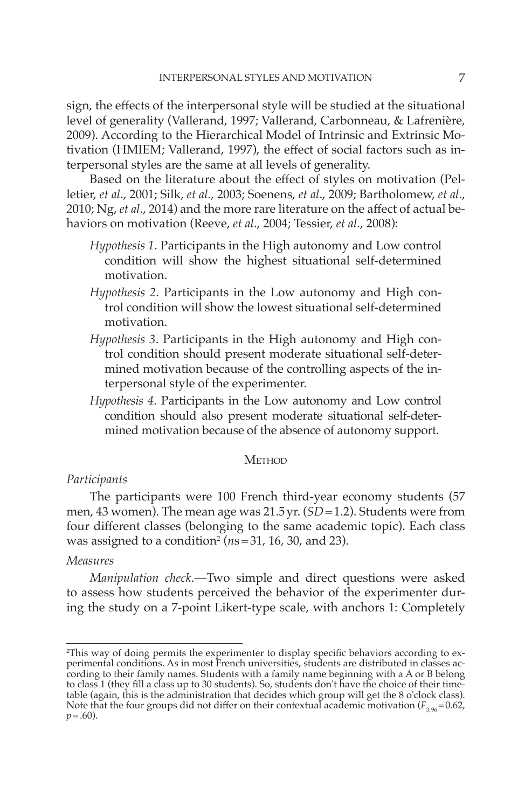sign, the effects of the interpersonal style will be studied at the situational level of generality (Vallerand, 1997; Vallerand, Carbonneau, & Lafrenière, 2009 ). According to the Hierarchical Model of Intrinsic and Extrinsic Motivation (HMIEM; Vallerand, 1997), the effect of social factors such as interpersonal styles are the same at all levels of generality.

Based on the literature about the effect of styles on motivation (Pelletier, *et al* ., 2001 ; Silk, *et al* ., 2003 ; Soenens, *et al* ., 2009 ; Bartholomew, *et al* ., 2010; Ng, *et al.*, 2014) and the more rare literature on the affect of actual behaviors on motivation (Reeve, *et al.*, 2004; Tessier, *et al.*, 2008):

- *Hypothesis 1* . Participants in the High autonomy and Low control condition will show the highest situational self-determined motivation.
- *Hypothesis 2* . Participants in the Low autonomy and High control condition will show the lowest situational self-determined motivation.
- *Hypothesis 3* . Participants in the High autonomy and High control condition should present moderate situational self-determined motivation because of the controlling aspects of the interpersonal style of the experimenter.
- *Hypothesis 4* . Participants in the Low autonomy and Low control condition should also present moderate situational self-determined motivation because of the absence of autonomy support.

#### **METHOD**

## *Participants*

 The participants were 100 French third-year economy students (57 men, 43 women). The mean age was 21.5 yr. (*SD* = 1.2). Students were from four different classes (belonging to the same academic topic). Each class was assigned to a condition<sup>2</sup> ( $ns = 31$ , 16, 30, and 23).

## *Measures*

*Manipulation check* .— Two simple and direct questions were asked to assess how students perceived the behavior of the experimenter during the study on a 7-point Likert-type scale, with anchors 1: Completely

<sup>2</sup> This way of doing permits the experimenter to display specifi c behaviors according to experimental conditions. As in most French universities, students are distributed in classes according to their family names. Students with a family name beginning with a A or B belong to class 1 (they fill a class up to 30 students). So, students don't have the choice of their timetable (again, this is the administration that decides which group will get the 8 o'clock class). Note that the four groups did not differ on their contextual academic motivation  $(F_{3,96} = 0.62,$  $p = .60$ ).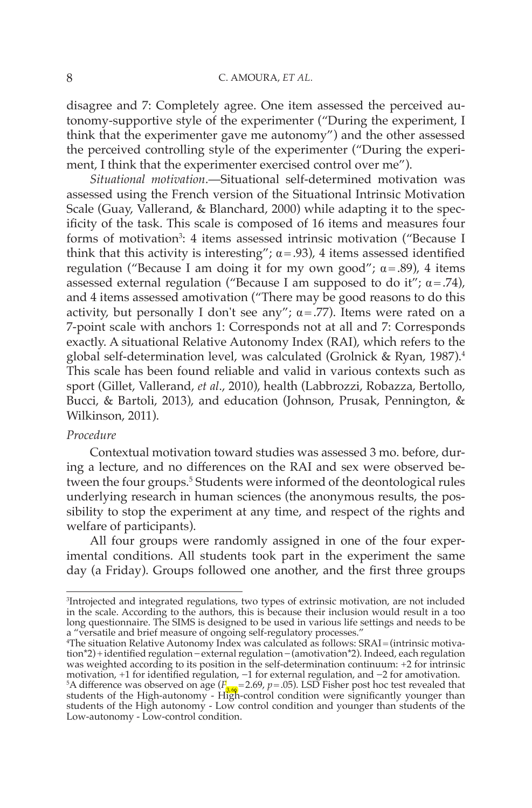disagree and 7: Completely agree. One item assessed the perceived autonomy-supportive style of the experimenter ("During the experiment, I think that the experimenter gave me autonomy") and the other assessed the perceived controlling style of the experimenter ("During the experiment, I think that the experimenter exercised control over me").

*Situational motivation* .— Situational self-determined motivation was assessed using the French version of the Situational Intrinsic Motivation Scale (Guay, Vallerand, & Blanchard, 2000) while adapting it to the specificity of the task. This scale is composed of 16 items and measures four forms of motivation<sup>3</sup>: 4 items assessed intrinsic motivation ("Because I think that this activity is interesting";  $\alpha$  = .93), 4 items assessed identified regulation ("Because I am doing it for my own good";  $\alpha$  = .89), 4 items assessed external regulation ("Because I am supposed to do it";  $\alpha = .74$ ), and 4 items assessed amotivation ("There may be good reasons to do this activity, but personally I don't see any";  $\alpha$  = .77). Items were rated on a 7-point scale with anchors 1: Corresponds not at all and 7: Corresponds exactly. A situational Relative Autonomy Index (RAI), which refers to the global self-determination level, was calculated (Grolnick & Ryan, 1987).<sup>4</sup> This scale has been found reliable and valid in various contexts such as sport ( Gillet, Vallerand, *et al* ., 2010 ), health ( Labbrozzi, Robazza, Bertollo, Bucci, & Bartoli, 2013 ), and education ( Johnson, Prusak, Pennington, & Wilkinson, 2011).

# *Procedure*

 Contextual motivation toward studies was assessed 3 mo. before, during a lecture, and no differences on the RAI and sex were observed between the four groups.<sup>5</sup> Students were informed of the deontological rules underlying research in human sciences (the anonymous results, the possibility to stop the experiment at any time, and respect of the rights and welfare of participants).

 All four groups were randomly assigned in one of the four experimental conditions. All students took part in the experiment the same day (a Friday). Groups followed one another, and the first three groups

<sup>3</sup> Introjected and integrated regulations, two types of extrinsic motivation, are not included in the scale. According to the authors, this is because their inclusion would result in a too long questionnaire. The SIMS is designed to be used in various life settings and needs to be a "versatile and brief measure of ongoing self-regulatory processes."

<sup>4</sup> The situation Relative Autonomy Index was calculated as follows: SRAI = (intrinsic motivation\*2) + identified regulation − external regulation − (amotivation\*2). Indeed, each regulation was weighted according to its position in the self-determination continuum: +2 for intrinsic motivation, +1 for identified regulation, -1 for external regulation, and -2 for amotivation.<br><sup>5</sup>A difference was observed on age ( $F_{3.69}$ =2.69,  $p$  = .05). LSD Fisher post hoc test revealed that<br>students of the High-au students of the High autonomy - Low control condition and younger than students of the Low-autonomy - Low-control condition.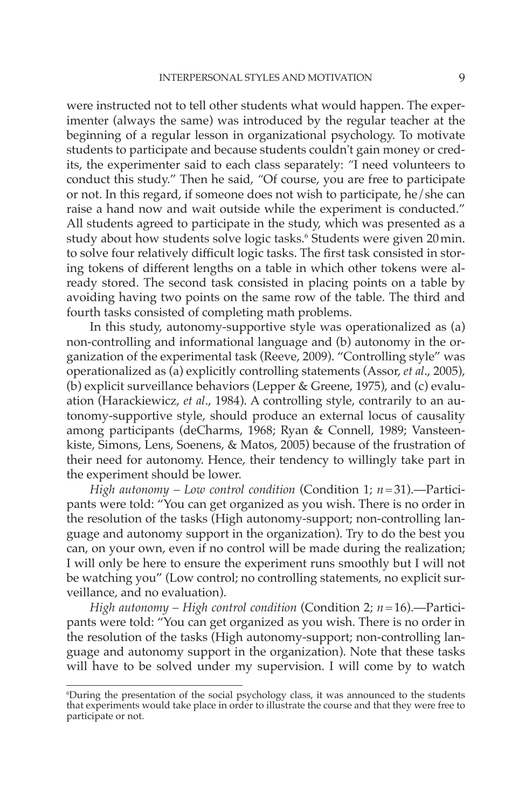were instructed not to tell other students what would happen. The experimenter (always the same) was introduced by the regular teacher at the beginning of a regular lesson in organizational psychology. To motivate students to participate and because students couldn't gain money or credits, the experimenter said to each class separately: "I need volunteers to conduct this study." Then he said, *"* Of course, you are free to participate or not. In this regard, if someone does not wish to participate, he/she can raise a hand now and wait outside while the experiment is conducted." All students agreed to participate in the study, which was presented as a study about how students solve logic tasks. 6 Students were given 20 min. to solve four relatively difficult logic tasks. The first task consisted in storing tokens of different lengths on a table in which other tokens were already stored. The second task consisted in placing points on a table by avoiding having two points on the same row of the table. The third and fourth tasks consisted of completing math problems.

 In this study, autonomy-supportive style was operationalized as (a) non-controlling and informational language and (b) autonomy in the organization of the experimental task ( Reeve, 2009 ). "Controlling style" was operationalized as (a) explicitly controlling statements ( Assor, *et al* ., 2005 ), (b) explicit surveillance behaviors ( Lepper & Greene, 1975 ), and (c) evaluation (Harackiewicz, et al., 1984). A controlling style, contrarily to an autonomy-supportive style, should produce an external locus of causality among participants (deCharms, 1968; Ryan & Connell, 1989; Vansteenkiste, Simons, Lens, Soenens, & Matos, 2005 ) because of the frustration of their need for autonomy. Hence, their tendency to willingly take part in the experiment should be lower.

*High autonomy – Low control condition* (Condition 1; *n* = 31) .— Participants were told: "You can get organized as you wish. There is no order in the resolution of the tasks (High autonomy-support; non-controlling language and autonomy support in the organization). Try to do the best you can, on your own, even if no control will be made during the realization; I will only be here to ensure the experiment runs smoothly but I will not be watching you" (Low control; no controlling statements, no explicit surveillance, and no evaluation).

*High autonomy – High control condition* (Condition 2; *n* = 16) .— Participants were told: "You can get organized as you wish. There is no order in the resolution of the tasks (High autonomy-support; non-controlling language and autonomy support in the organization). Note that these tasks will have to be solved under my supervision. I will come by to watch

<sup>6</sup> During the presentation of the social psychology class, it was announced to the students that experiments would take place in order to illustrate the course and that they were free to participate or not.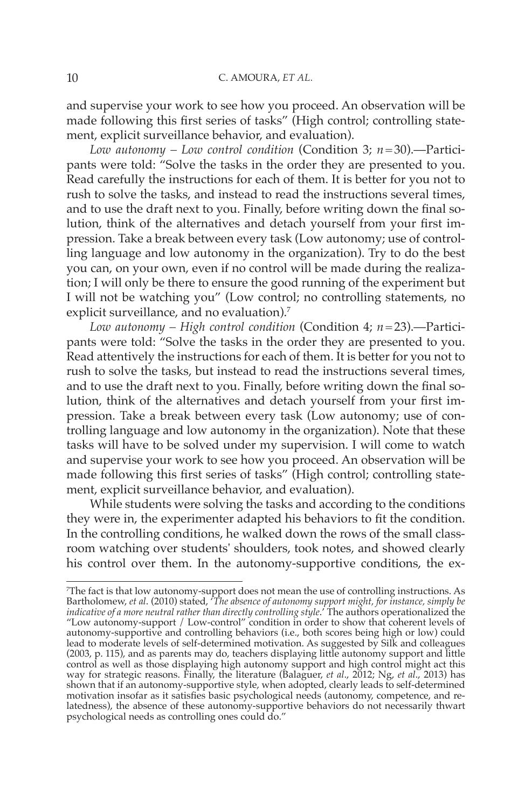and supervise your work to see how you proceed. An observation will be made following this first series of tasks" (High control; controlling statement, explicit surveillance behavior, and evaluation).

*Low autonomy – Low control condition* (Condition 3; *n* = 30) .— Participants were told: "Solve the tasks in the order they are presented to you. Read carefully the instructions for each of them. It is better for you not to rush to solve the tasks, and instead to read the instructions several times, and to use the draft next to you. Finally, before writing down the final solution, think of the alternatives and detach yourself from your first impression. Take a break between every task (Low autonomy; use of controlling language and low autonomy in the organization). Try to do the best you can, on your own, even if no control will be made during the realization; I will only be there to ensure the good running of the experiment but I will not be watching you" (Low control; no controlling statements, no explicit surveillance, and no evaluation).<sup>7</sup>

*Low autonomy – High control condition* (Condition 4; *n* = 23) .— Participants were told: "Solve the tasks in the order they are presented to you. Read attentively the instructions for each of them. It is better for you not to rush to solve the tasks, but instead to read the instructions several times, and to use the draft next to you. Finally, before writing down the final solution, think of the alternatives and detach yourself from your first impression. Take a break between every task (Low autonomy; use of controlling language and low autonomy in the organization). Note that these tasks will have to be solved under my supervision. I will come to watch and supervise your work to see how you proceed. An observation will be made following this first series of tasks" (High control; controlling statement, explicit surveillance behavior, and evaluation).

 While students were solving the tasks and according to the conditions they were in, the experimenter adapted his behaviors to fit the condition. In the controlling conditions, he walked down the rows of the small classroom watching over students' shoulders, took notes, and showed clearly his control over them. In the autonomy-supportive conditions, the ex-

<sup>7</sup> The fact is that low autonomy-support does not mean the use of controlling instructions. As Bartholomew, *et al* . (2010 ) stated, ' *The absence of autonomy support might, for instance, simply be indicative of a more neutral rather than directly controlling style* .' The authors operationalized the "Low autonomy-support / Low-control" condition in order to show that coherent levels of autonomy-supportive and controlling behaviors (i.e., both scores being high or low) could lead to moderate levels of self-determined motivation. As suggested by Silk and colleagues (2003, p. 115), and as parents may do, teachers displaying little autonomy support and little control as well as those displaying high autonomy support and high control might act this way for strategic reasons. Finally, the literature ( Balaguer, *et al* ., 2012 ; Ng, *et al* ., 2013) has shown that if an autonomy-supportive style, when adopted, clearly leads to self-determined motivation insofar as it satisfies basic psychological needs (autonomy, competence, and relatedness), the absence of these autonomy-supportive behaviors do not necessarily thwart psychological needs as controlling ones could do."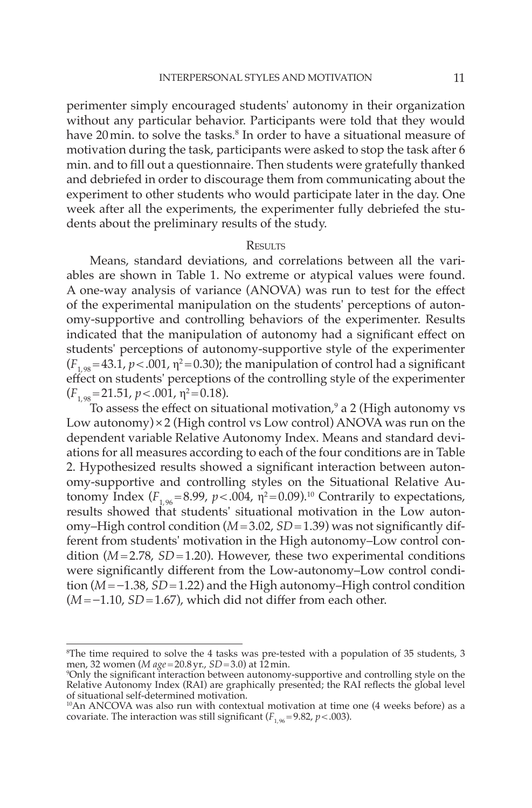perimenter simply encouraged students' autonomy in their organization without any particular behavior. Participants were told that they would have 20 min. to solve the tasks. 8 In order to have a situational measure of motivation during the task, participants were asked to stop the task after 6 min. and to fill out a questionnaire. Then students were gratefully thanked and debriefed in order to discourage them from communicating about the experiment to other students who would participate later in the day. One week after all the experiments, the experimenter fully debriefed the students about the preliminary results of the study.

# **RESULTS**

 Means, standard deviations, and correlations between all the variables are shown in Table 1. No extreme or atypical values were found. A one-way analysis of variance (ANOVA) was run to test for the effect of the experimental manipulation on the students' perceptions of autonomy-supportive and controlling behaviors of the experimenter. Results indicated that the manipulation of autonomy had a significant effect on students' perceptions of autonomy-supportive style of the experimenter  $(F_{1,98} = 43.1, p < .001, \eta^2 = 0.30)$ ; the manipulation of control had a significant effect on students' perceptions of the controlling style of the experimenter  $(F_{1,98} = 21.51, p < .001, \eta^2 = 0.18).$ 

To assess the effect on situational motivation, $9$  a 2 (High autonomy vs Low autonomy) $\times$ 2 (High control vs Low control) ANOVA was run on the dependent variable Relative Autonomy Index. Means and standard deviations for all measures according to each of the four conditions are in Table 2. Hypothesized results showed a significant interaction between autonomy-supportive and controlling styles on the Situational Relative Autonomy Index ( $F_{1,96} = 8.99$ ,  $p < .004$ ,  $\eta^2 = 0.09$ ).<sup>10</sup> Contrarily to expectations, results showed that students' situational motivation in the Low autonomy–High control condition  $(M=3.02, SD=1.39)$  was not significantly different from students' motivation in the High autonomy–Low control condition  $(M=2.78, SD=1.20)$ . However, these two experimental conditions were significantly different from the Low-autonomy–Low control condition ( *M* = −1.38, *SD* = 1.22) and the High autonomy–High control condition  $(M = -1.10, SD = 1.67)$ , which did not differ from each other.

<sup>8</sup> The time required to solve the 4 tasks was pre-tested with a population of 35 students, 3 men*,* 32 women (*M age* = 20.8 yr.*, SD* = 3.0) at 12 min.<br>°Only the significant interaction between autonomy-supportive and controlling style on the

Relative Autonomy Index (RAI) are graphically presented; the RAI reflects the global level of situational self-determined motivation.

<sup>10</sup> An ANCOVA was also run with contextual motivation at time one (4 weeks before) as a covariate. The interaction was still significant ( $F_{1.96} = 9.82$ ,  $p < .003$ ).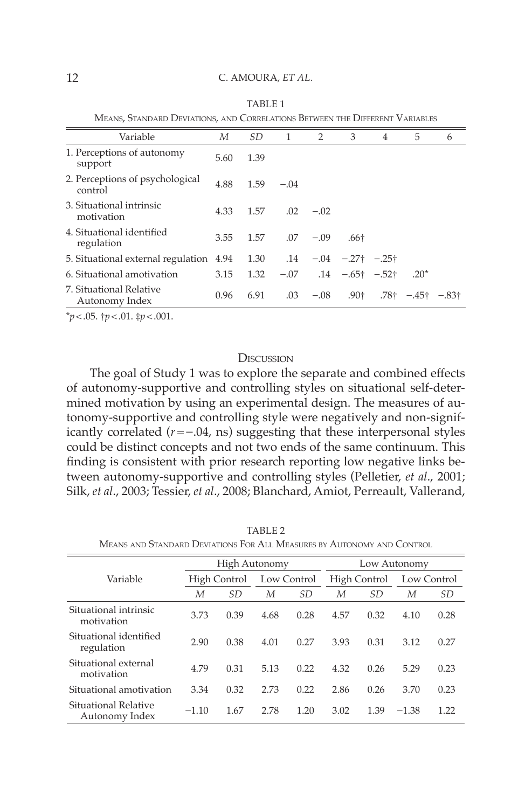| <u><b>INEARO, UTARDARD DEVIATIOR</b>, AND CONNELATION</u> DETWEEN THE DITENSIVE VANIADES. |      |        |        |                           |                |                                                              |                                                                                     |  |
|-------------------------------------------------------------------------------------------|------|--------|--------|---------------------------|----------------|--------------------------------------------------------------|-------------------------------------------------------------------------------------|--|
| М                                                                                         | SD.  | 1      | 2      | 3                         | $\overline{4}$ | 5                                                            | 6                                                                                   |  |
| 5.60                                                                                      | 1.39 |        |        |                           |                |                                                              |                                                                                     |  |
| 4.88                                                                                      | 1.59 | $-.04$ |        |                           |                |                                                              |                                                                                     |  |
| 4.33                                                                                      | 1.57 |        | $-.02$ |                           |                |                                                              |                                                                                     |  |
| 3.55                                                                                      | 1.57 |        |        | .66†                      |                |                                                              |                                                                                     |  |
| 5. Situational external regulation<br>4.94                                                | 1.30 |        |        |                           |                |                                                              |                                                                                     |  |
| 3.15                                                                                      | 1.32 |        |        |                           |                | $.20*$                                                       |                                                                                     |  |
| 0.96                                                                                      | 6.91 |        |        |                           |                |                                                              |                                                                                     |  |
|                                                                                           |      |        |        | .02<br>$.07 - .09$<br>.03 |                | $.14 - .04 - .27$ + $-.25$ +<br>$-.07$ .14 $-.65$ † $-.52$ † | $-0.08$ .90 <sup>†</sup> .78 <sup>†</sup> $-0.45$ <sup>†</sup> $-0.83$ <sup>†</sup> |  |

 TABLE 1 MEANS, STANDARD DEVIATIONS, AND CORRELATIONS BETWEEN THE DIFFERENT VARIABLES

 $**p* < .05.$   $\dagger *p* < .01.$   $\dagger *p* < .001.$ 

## **DISCUSSION**

The goal of Study 1 was to explore the separate and combined effects of autonomy-supportive and controlling styles on situational self-determined motivation by using an experimental design. The measures of autonomy-supportive and controlling style were negatively and non-significantly correlated  $(r = -0.04, \text{ns})$  suggesting that these interpersonal styles could be distinct concepts and not two ends of the same continuum. This finding is consistent with prior research reporting low negative links between autonomy-supportive and controlling styles (Pelletier, et al., 2001; Silk, et al., 2003; Tessier, et al., 2008; Blanchard, Amiot, Perreault, Vallerand,

|                                        |              | High Autonomy |             |      |              | Low Autonomy |             |           |  |
|----------------------------------------|--------------|---------------|-------------|------|--------------|--------------|-------------|-----------|--|
| Variable                               | High Control |               | Low Control |      | High Control |              | Low Control |           |  |
|                                        | М            | SD.           | М           | SD.  | М            | SD.          | М           | <i>SD</i> |  |
| Situational intrinsic<br>motivation    | 3.73         | 0.39          | 4.68        | 0.28 | 4.57         | 0.32         | 4.10        | 0.28      |  |
| Situational identified<br>regulation   | 2.90         | 0.38          | 4.01        | 0.27 | 3.93         | 0.31         | 3.12        | 0.27      |  |
| Situational external<br>motivation     | 4.79         | 0.31          | 5.13        | 0.22 | 4.32         | 0.26         | 5.29        | 0.23      |  |
| Situational amotivation                | 3.34         | 0.32          | 2.73        | 0.22 | 2.86         | 0.26         | 3.70        | 0.23      |  |
| Situational Relative<br>Autonomy Index | $-1.10$      | 1.67          | 2.78        | 1.20 | 3.02         | 1.39         | $-1.38$     | 1.22      |  |

TABLE 2

MEANS AND STANDARD DEVIATIONS FOR ALL MEASURES BY AUTONOMY AND CONTROL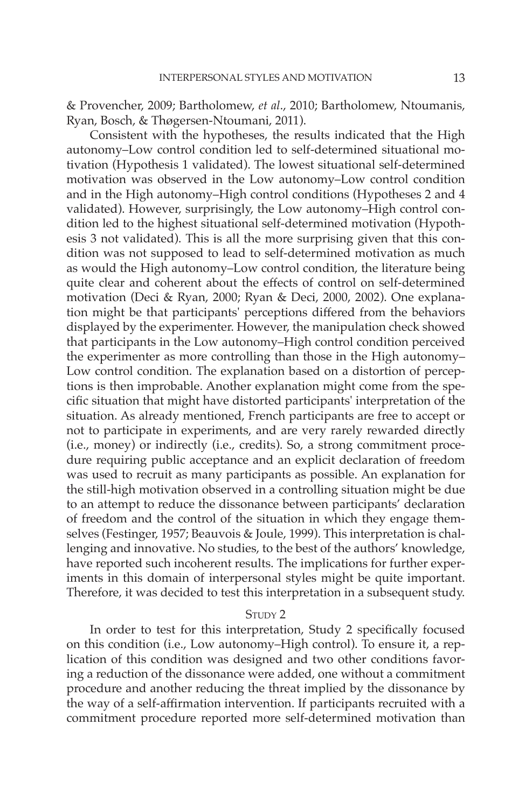& Provencher, 2009 ; Bartholomew, *et al* ., 2010 ; Bartholomew, Ntoumanis, Ryan, Bosch, & Thøgersen-Ntoumani, 2011 ).

 Consistent with the hypotheses, the results indicated that the High autonomy–Low control condition led to self-determined situational motivation (Hypothesis 1 validated). The lowest situational self-determined motivation was observed in the Low autonomy–Low control condition and in the High autonomy–High control conditions (Hypotheses 2 and 4 validated). However, surprisingly, the Low autonomy–High control condition led to the highest situational self-determined motivation (Hypothesis 3 not validated). This is all the more surprising given that this condition was not supposed to lead to self-determined motivation as much as would the High autonomy–Low control condition, the literature being quite clear and coherent about the effects of control on self-determined motivation (Deci & Ryan, 2000; Ryan & Deci, 2000, 2002). One explanation might be that participants' perceptions differed from the behaviors displayed by the experimenter. However, the manipulation check showed that participants in the Low autonomy–High control condition perceived the experimenter as more controlling than those in the High autonomy– Low control condition. The explanation based on a distortion of perceptions is then improbable. Another explanation might come from the specific situation that might have distorted participants' interpretation of the situation. As already mentioned, French participants are free to accept or not to participate in experiments, and are very rarely rewarded directly (i.e., money) or indirectly (i.e., credits). So, a strong commitment procedure requiring public acceptance and an explicit declaration of freedom was used to recruit as many participants as possible. An explanation for the still-high motivation observed in a controlling situation might be due to an attempt to reduce the dissonance between participants' declaration of freedom and the control of the situation in which they engage themselves (Festinger, 1957; Beauvois & Joule, 1999). This interpretation is challenging and innovative. No studies, to the best of the authors' knowledge, have reported such incoherent results. The implications for further experiments in this domain of interpersonal styles might be quite important. Therefore, it was decided to test this interpretation in a subsequent study.

## STUDY 2

In order to test for this interpretation, Study 2 specifically focused on this condition (i.e., Low autonomy–High control). To ensure it, a replication of this condition was designed and two other conditions favoring a reduction of the dissonance were added, one without a commitment procedure and another reducing the threat implied by the dissonance by the way of a self-affirmation intervention. If participants recruited with a commitment procedure reported more self-determined motivation than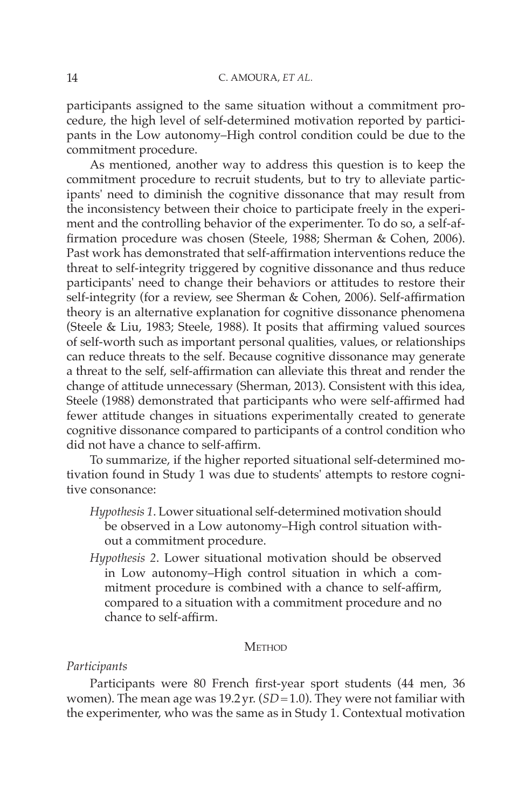participants assigned to the same situation without a commitment procedure, the high level of self-determined motivation reported by participants in the Low autonomy–High control condition could be due to the commitment procedure.

 As mentioned, another way to address this question is to keep the commitment procedure to recruit students, but to try to alleviate participants' need to diminish the cognitive dissonance that may result from the inconsistency between their choice to participate freely in the experiment and the controlling behavior of the experimenter. To do so, a self-affirmation procedure was chosen (Steele, 1988; Sherman & Cohen, 2006). Past work has demonstrated that self-affirmation interventions reduce the threat to self-integrity triggered by cognitive dissonance and thus reduce participants' need to change their behaviors or attitudes to restore their self-integrity (for a review, see Sherman & Cohen, 2006). Self-affirmation theory is an alternative explanation for cognitive dissonance phenomena (Steele  $&$  Liu, 1983; Steele, 1988). It posits that affirming valued sources of self-worth such as important personal qualities, values, or relationships can reduce threats to the self. Because cognitive dissonance may generate a threat to the self, self-affirmation can alleviate this threat and render the change of attitude unnecessary ( Sherman, 2013 ). Consistent with this idea, Steele (1988) demonstrated that participants who were self-affirmed had fewer attitude changes in situations experimentally created to generate cognitive dissonance compared to participants of a control condition who did not have a chance to self-affirm.

 To summarize, if the higher reported situational self-determined motivation found in Study 1 was due to students' attempts to restore cognitive consonance:

- *Hypothesis 1* . Lower situational self-determined motivation should be observed in a Low autonomy–High control situation without a commitment procedure.
- *Hypothesis 2.* Lower situational motivation should be observed in Low autonomy–High control situation in which a commitment procedure is combined with a chance to self-affirm, compared to a situation with a commitment procedure and no chance to self-affirm.

### **METHOD**

#### *Participants*

Participants were 80 French first-year sport students (44 men, 36 women). The mean age was 19.2 yr. (*SD* = 1.0). They were not familiar with the experimenter, who was the same as in Study 1. Contextual motivation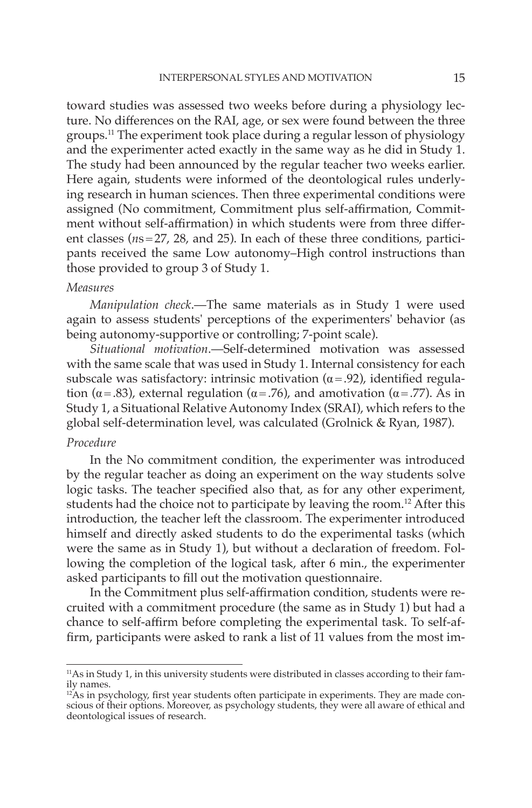toward studies was assessed two weeks before during a physiology lecture. No differences on the RAI, age, or sex were found between the three groups. 11 The experiment took place during a regular lesson of physiology and the experimenter acted exactly in the same way as he did in Study 1. The study had been announced by the regular teacher two weeks earlier. Here again, students were informed of the deontological rules underlying research in human sciences. Then three experimental conditions were assigned (No commitment, Commitment plus self-affirmation, Commitment without self-affirmation) in which students were from three different classes ( $ns = 27$ , 28, and 25). In each of these three conditions, participants received the same Low autonomy–High control instructions than those provided to group 3 of Study 1.

# *Measures*

*Manipulation check* .— The same materials as in Study 1 were used again to assess students' perceptions of the experimenters' behavior (as being autonomy-supportive or controlling; 7-point scale).

*Situational motivation* .— Self-determined motivation was assessed with the same scale that was used in Study 1. Internal consistency for each subscale was satisfactory: intrinsic motivation ( $\alpha$  = .92), identified regulation ( $\alpha$ =.83), external regulation ( $\alpha$ =.76), and amotivation ( $\alpha$ =.77). As in Study 1, a Situational Relative Autonomy Index (SRAI), which refers to the global self-determination level, was calculated (Grolnick & Ryan, 1987).

# *Procedure*

 In the No commitment condition, the experimenter was introduced by the regular teacher as doing an experiment on the way students solve logic tasks. The teacher specified also that, as for any other experiment, students had the choice not to participate by leaving the room.<sup>12</sup> After this introduction, the teacher left the classroom. The experimenter introduced himself and directly asked students to do the experimental tasks (which were the same as in Study 1), but without a declaration of freedom. Following the completion of the logical task, after 6 min., the experimenter asked participants to fill out the motivation questionnaire.

In the Commitment plus self-affirmation condition, students were recruited with a commitment procedure (the same as in Study 1) but had a chance to self-affirm before completing the experimental task. To self-affirm, participants were asked to rank a list of 11 values from the most im-

 $11$ As in Study 1, in this university students were distributed in classes according to their family names.

 $12As$  in psychology, first year students often participate in experiments. They are made conscious of their options. Moreover, as psychology students, they were all aware of ethical and deontological issues of research.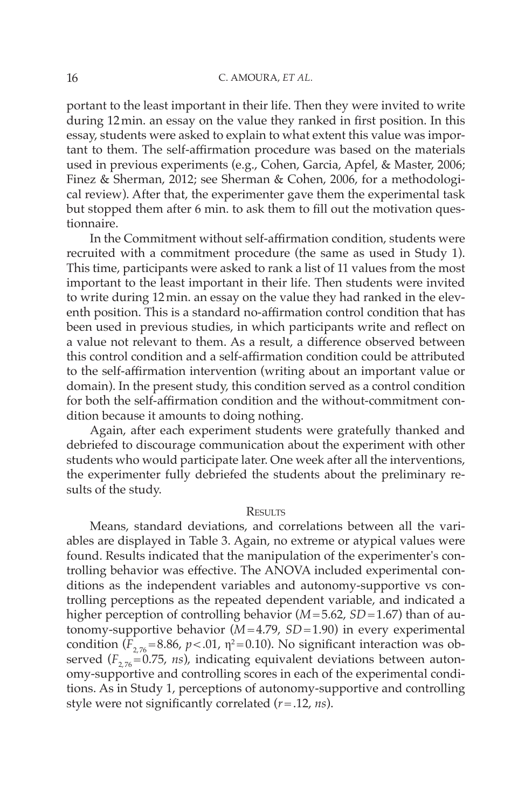portant to the least important in their life. Then they were invited to write during 12 min. an essay on the value they ranked in first position. In this essay, students were asked to explain to what extent this value was important to them. The self-affirmation procedure was based on the materials used in previous experiments (e.g., Cohen, Garcia, Apfel, & Master, 2006; Finez & Sherman, 2012; see Sherman & Cohen, 2006, for a methodological review). After that, the experimenter gave them the experimental task but stopped them after 6 min. to ask them to fill out the motivation questionnaire.

In the Commitment without self-affirmation condition, students were recruited with a commitment procedure (the same as used in Study 1). This time, participants were asked to rank a list of 11 values from the most important to the least important in their life. Then students were invited to write during 12 min. an essay on the value they had ranked in the eleventh position. This is a standard no-affirmation control condition that has been used in previous studies, in which participants write and reflect on a value not relevant to them. As a result, a difference observed between this control condition and a self-affirmation condition could be attributed to the self-affirmation intervention (writing about an important value or domain). In the present study, this condition served as a control condition for both the self-affirmation condition and the without-commitment condition because it amounts to doing nothing.

 Again, after each experiment students were gratefully thanked and debriefed to discourage communication about the experiment with other students who would participate later. One week after all the interventions, the experimenter fully debriefed the students about the preliminary results of the study.

## **RESULTS**

 Means, standard deviations, and correlations between all the variables are displayed in Table 3 . Again, no extreme or atypical values were found. Results indicated that the manipulation of the experimenter's controlling behavior was effective. The ANOVA included experimental conditions as the independent variables and autonomy-supportive vs controlling perceptions as the repeated dependent variable, and indicated a higher perception of controlling behavior (*M* = 5.62, *SD* = 1.67) than of autonomy-supportive behavior  $(M=4.79, SD=1.90)$  in every experimental condition  $(F_{2,76} = 8.86, p < .01, \eta^2 = 0.10)$ . No significant interaction was observed  $(F_{2, 76} = 0.75, ns)$ , indicating equivalent deviations between autonomy-supportive and controlling scores in each of the experimental conditions. As in Study 1, perceptions of autonomy-supportive and controlling style were not significantly correlated  $(r = .12, ns)$ .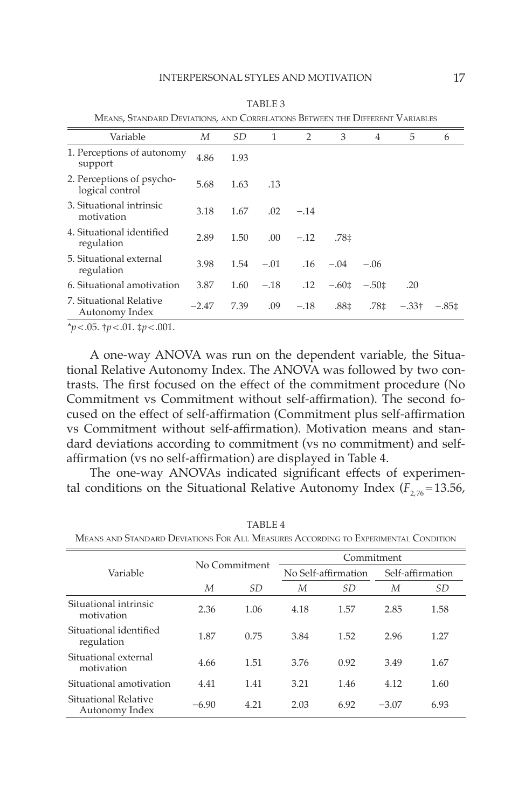| MEANS, STANDARD DEVIATIONS, AND CORRELATIONS BETWEEN THE DIFFERENT VARIABLES |         |           |        |         |                  |           |               |         |
|------------------------------------------------------------------------------|---------|-----------|--------|---------|------------------|-----------|---------------|---------|
| Variable                                                                     | М       | <i>SD</i> | 1      | 2       | 3                | 4         | 5             | 6       |
| 1. Perceptions of autonomy<br>support                                        | 4.86    | 1.93      |        |         |                  |           |               |         |
| 2. Perceptions of psycho-<br>logical control                                 | 5.68    | 1.63      | .13    |         |                  |           |               |         |
| 3. Situational intrinsic<br>motivation                                       | 3.18    | 1.67      | .02    | $-.14$  |                  |           |               |         |
| 4. Situational identified<br>regulation                                      | 2.89    | 1.50      | .00    | $-.12$  | .78‡             |           |               |         |
| 5. Situational external<br>regulation                                        | 3.98    | 1.54      | $-.01$ |         | $.16 - .04$      | $-.06$    |               |         |
| 6. Situational amotivation                                                   | 3.87    | 1.60      | $-.18$ | $.12\,$ | $-.60±$          | $-.50\pm$ | .20           |         |
| 7. Situational Relative<br>Autonomy Index                                    | $-2.47$ | 7.39      | .09    | $-.18$  | .88 <sup>‡</sup> | .78‡      | $-.33\dagger$ | $-.85‡$ |

 TABLE 3 MEANS, STANDARD DEVIATIONS, AND CORRELATIONS BETWEEN THE DIFFERENT VARIABLES

 $**p* < .05.$   $\dagger *p* < .01.$   $\dagger *p* < .001.$ 

 A one-way ANOVA was run on the dependent variable, the Situational Relative Autonomy Index. The ANOVA was followed by two contrasts. The first focused on the effect of the commitment procedure (No Commitment vs Commitment without self-affirmation). The second focused on the effect of self-affirmation (Commitment plus self-affirmation vs Commitment without self-affirmation). Motivation means and standard deviations according to commitment (vs no commitment) and selfaffirmation (vs no self-affirmation) are displayed in Table 4.

The one-way ANOVAs indicated significant effects of experimental conditions on the Situational Relative Autonomy Index  $(F_{2, 76} = 13.56$ ,

| Variable                               |         | No Commitment |      | Commitment          |                  |      |  |  |  |
|----------------------------------------|---------|---------------|------|---------------------|------------------|------|--|--|--|
|                                        |         |               |      | No Self-affirmation | Self-affirmation |      |  |  |  |
|                                        | М       | SD            | М    | SD.                 | М                | SD   |  |  |  |
| Situational intrinsic<br>motivation    | 2.36    | 1.06          | 4.18 | 1.57                | 2.85             | 1.58 |  |  |  |
| Situational identified<br>regulation   | 1.87    | 0.75          | 3.84 | 1.52                | 2.96             | 1.27 |  |  |  |
| Situational external<br>motivation     | 4.66    | 1.51          | 3.76 | 0.92                | 3.49             | 1.67 |  |  |  |
| Situational amotivation                | 4.41    | 1.41          | 3.21 | 1.46                | 4.12             | 1.60 |  |  |  |
| Situational Relative<br>Autonomy Index | $-6.90$ | 4.21          | 2.03 | 6.92                | $-3.07$          | 6.93 |  |  |  |

 TABLE 4 MEANS AND STANDARD DEVIATIONS FOR ALL MEASURES ACCORDING TO EXPERIMENTAL CONDITION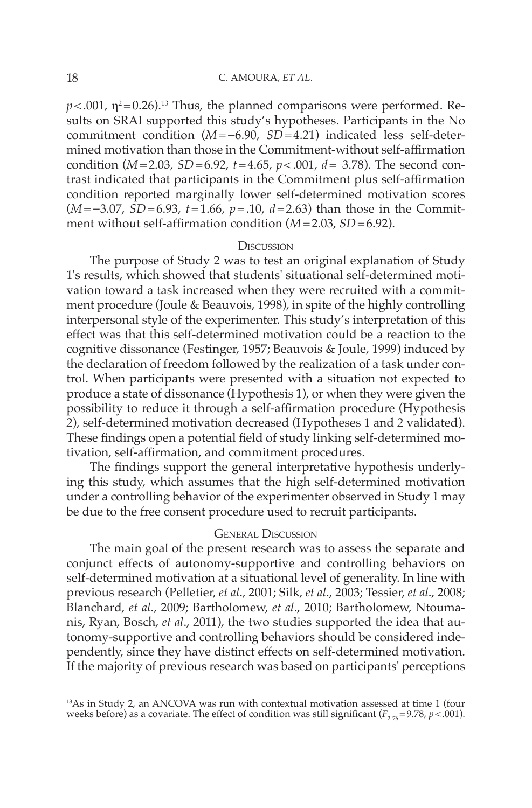$p<.001$ ,  $\eta^2$ =0.26).<sup>13</sup> Thus, the planned comparisons were performed. Results on SRAI supported this study's hypotheses. Participants in the No commitment condition (*M* = −6.90, *SD* = 4.21) indicated less self-determined motivation than those in the Commitment-without self-affirmation condition  $(M=2.03, SD=6.92, t=4.65, p<0.01, d=3.78)$ . The second contrast indicated that participants in the Commitment plus self-affirmation condition reported marginally lower self-determined motivation scores (*M* = −3.07, *SD* = 6.93, *t* = 1.66, *p* = .10, *d* = 2.63) than those in the Commitment without self-affirmation condition  $(M=2.03, SD=6.92)$ .

#### **DISCUSSION**

 The purpose of Study 2 was to test an original explanation of Study 1's results, which showed that students' situational self-determined motivation toward a task increased when they were recruited with a commitment procedure (Joule & Beauvois, 1998), in spite of the highly controlling interpersonal style of the experimenter. This study's interpretation of this effect was that this self-determined motivation could be a reaction to the cognitive dissonance (Festinger, 1957; Beauvois & Joule, 1999) induced by the declaration of freedom followed by the realization of a task under control. When participants were presented with a situation not expected to produce a state of dissonance (Hypothesis 1), or when they were given the possibility to reduce it through a self-affirmation procedure (Hypothesis 2), self-determined motivation decreased (Hypotheses 1 and 2 validated). These findings open a potential field of study linking self-determined motivation, self-affirmation, and commitment procedures.

The findings support the general interpretative hypothesis underlying this study, which assumes that the high self-determined motivation under a controlling behavior of the experimenter observed in Study 1 may be due to the free consent procedure used to recruit participants.

## GENERAL DISCUSSION

 The main goal of the present research was to assess the separate and conjunct effects of autonomy-supportive and controlling behaviors on self-determined motivation at a situational level of generality. In line with previous research ( Pelletier, *et al* ., 2001 ; Silk, *et al* ., 2003 ; Tessier, *et al* ., 2008 ; Blanchard, *et al.*, 2009; Bartholomew, *et al.*, 2010; Bartholomew, Ntoumanis, Ryan, Bosch, *et al.*, 2011), the two studies supported the idea that autonomy-supportive and controlling behaviors should be considered independently, since they have distinct effects on self-determined motivation. If the majority of previous research was based on participants' perceptions

 $13As$  in Study 2, an ANCOVA was run with contextual motivation assessed at time 1 (four weeks before) as a covariate. The effect of condition was still significant ( $F_{2.76}$ =9.78, *p* < .001).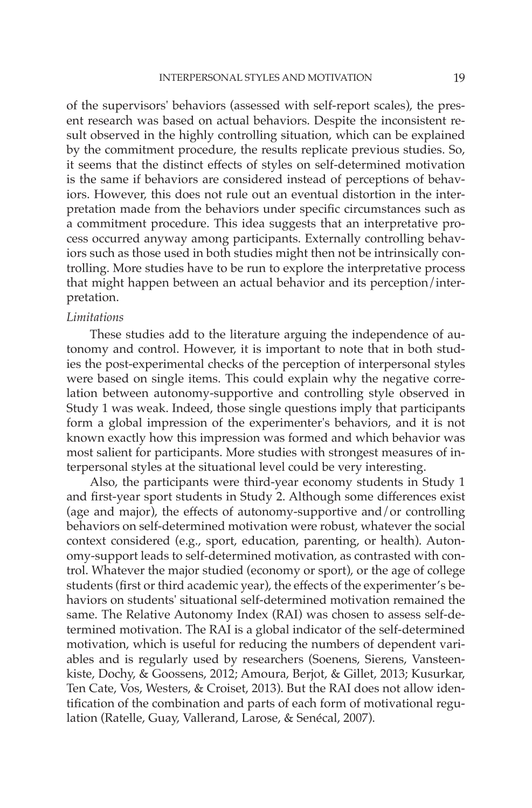of the supervisors' behaviors (assessed with self-report scales), the present research was based on actual behaviors. Despite the inconsistent result observed in the highly controlling situation, which can be explained by the commitment procedure, the results replicate previous studies. So, it seems that the distinct effects of styles on self-determined motivation is the same if behaviors are considered instead of perceptions of behaviors. However, this does not rule out an eventual distortion in the interpretation made from the behaviors under specific circumstances such as a commitment procedure. This idea suggests that an interpretative process occurred anyway among participants. Externally controlling behaviors such as those used in both studies might then not be intrinsically controlling. More studies have to be run to explore the interpretative process that might happen between an actual behavior and its perception/interpretation.

# *Limitations*

 These studies add to the literature arguing the independence of autonomy and control. However, it is important to note that in both studies the post-experimental checks of the perception of interpersonal styles were based on single items. This could explain why the negative correlation between autonomy-supportive and controlling style observed in Study 1 was weak. Indeed, those single questions imply that participants form a global impression of the experimenter's behaviors, and it is not known exactly how this impression was formed and which behavior was most salient for participants. More studies with strongest measures of interpersonal styles at the situational level could be very interesting.

 Also, the participants were third-year economy students in Study 1 and first-year sport students in Study 2. Although some differences exist (age and major), the effects of autonomy-supportive and/or controlling behaviors on self-determined motivation were robust, whatever the social context considered (e.g., sport, education, parenting, or health). Autonomy-support leads to self-determined motivation, as contrasted with control. Whatever the major studied (economy or sport), or the age of college students (first or third academic year), the effects of the experimenter's behaviors on students' situational self-determined motivation remained the same. The Relative Autonomy Index (RAI) was chosen to assess self-determined motivation. The RAI is a global indicator of the self-determined motivation, which is useful for reducing the numbers of dependent variables and is regularly used by researchers (Soenens, Sierens, Vansteenkiste, Dochy, & Goossens, 2012; Amoura, Berjot, & Gillet, 2013; Kusurkar, Ten Cate, Vos, Westers, & Croiset, 2013 ). But the RAI does not allow identification of the combination and parts of each form of motivational regulation (Ratelle, Guay, Vallerand, Larose, & Senécal, 2007).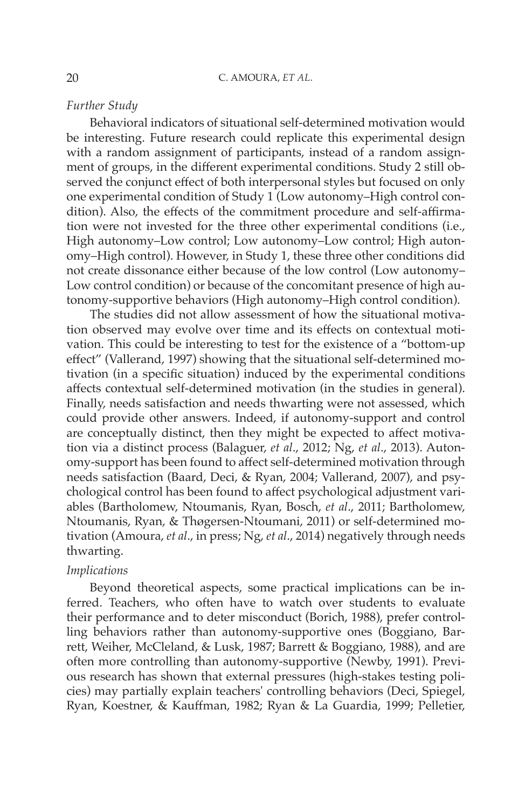## *Further Study*

 Behavioral indicators of situational self-determined motivation would be interesting. Future research could replicate this experimental design with a random assignment of participants, instead of a random assignment of groups, in the different experimental conditions. Study 2 still observed the conjunct effect of both interpersonal styles but focused on only one experimental condition of Study 1 (Low autonomy–High control condition). Also, the effects of the commitment procedure and self-affirmation were not invested for the three other experimental conditions (i.e., High autonomy–Low control; Low autonomy–Low control; High autonomy–High control). However, in Study 1, these three other conditions did not create dissonance either because of the low control (Low autonomy– Low control condition) or because of the concomitant presence of high autonomy-supportive behaviors (High autonomy–High control condition).

 The studies did not allow assessment of how the situational motivation observed may evolve over time and its effects on contextual motivation. This could be interesting to test for the existence of a "bottom-up effect" (Vallerand, 1997) showing that the situational self-determined motivation (in a specific situation) induced by the experimental conditions affects contextual self-determined motivation (in the studies in general). Finally, needs satisfaction and needs thwarting were not assessed, which could provide other answers. Indeed, if autonomy-support and control are conceptually distinct, then they might be expected to affect motivation via a distinct process (Balaguer, *et al.*, 2012; Ng, *et al.*, 2013). Autonomy-support has been found to affect self-determined motivation through needs satisfaction (Baard, Deci, & Ryan, 2004; Vallerand, 2007), and psychological control has been found to affect psychological adjustment variables ( Bartholomew, Ntoumanis, Ryan, Bosch, *et al* ., 2011 ; Bartholomew, Ntoumanis, Ryan, & Thøgersen-Ntoumani, 2011 ) or self-determined motivation (Amoura, *et al.*, in press; Ng, *et al.*, 2014) negatively through needs thwarting.

# *Implications*

 Beyond theoretical aspects, some practical implications can be inferred. Teachers, who often have to watch over students to evaluate their performance and to deter misconduct ( Borich, 1988 ), prefer controlling behaviors rather than autonomy-supportive ones (Boggiano, Barrett, Weiher, McCleland, & Lusk, 1987; Barrett & Boggiano, 1988), and are often more controlling than autonomy-supportive (Newby, 1991). Previous research has shown that external pressures (high-stakes testing policies) may partially explain teachers' controlling behaviors ( Deci, Spiegel, Ryan, Koestner, & Kauffman, 1982; Ryan & La Guardia, 1999; Pelletier,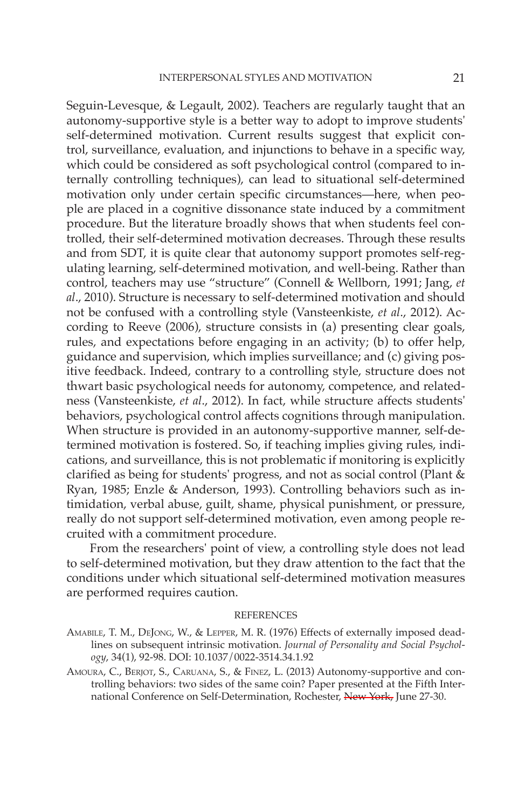Seguin-Levesque, & Legault, 2002). Teachers are regularly taught that an autonomy-supportive style is a better way to adopt to improve students' self-determined motivation. Current results suggest that explicit control, surveillance, evaluation, and injunctions to behave in a specific way, which could be considered as soft psychological control (compared to internally controlling techniques), can lead to situational self-determined motivation only under certain specific circumstances—here, when people are placed in a cognitive dissonance state induced by a commitment procedure. But the literature broadly shows that when students feel controlled, their self-determined motivation decreases. Through these results and from SDT, it is quite clear that autonomy support promotes self-regulating learning, self-determined motivation, and well-being. Rather than control, teachers may use "structure" (Connell & Wellborn, 1991; Jang, et al., 2010). Structure is necessary to self-determined motivation and should not be confused with a controlling style (Vansteenkiste, et al., 2012). According to Reeve (2006), structure consists in (a) presenting clear goals, rules, and expectations before engaging in an activity; (b) to offer help, guidance and supervision, which implies surveillance; and (c) giving positive feedback. Indeed, contrary to a controlling style, structure does not thwart basic psychological needs for autonomy, competence, and relatedness (Vansteenkiste, et al., 2012). In fact, while structure affects students' behaviors, psychological control affects cognitions through manipulation. When structure is provided in an autonomy-supportive manner, self-determined motivation is fostered. So, if teaching implies giving rules, indications, and surveillance, this is not problematic if monitoring is explicitly clarified as being for students' progress, and not as social control (Plant  $\&$ Ryan, 1985; Enzle & Anderson, 1993). Controlling behaviors such as intimidation, verbal abuse, guilt, shame, physical punishment, or pressure, really do not support self-determined motivation, even among people recruited with a commitment procedure.

 From the researchers' point of view, a controlling style does not lead to self-determined motivation, but they draw attention to the fact that the conditions under which situational self-determined motivation measures are performed requires caution.

#### REFERENCES

- AMABILE, T. M., DEJONG, W., & LEPPER, M. R. (1976) Effects of externally imposed deadlines on subsequent intrinsic motivation . *Journal of Personality and Social Psychology* , 34 ( 1 ), 92 - 98 . DOI: 10.1037/0022-3514.34.1.92
- AMOURA, C., BERJOT, S., CARUANA, S., & FINEZ, L. (2013) Autonomy-supportive and controlling behaviors: two sides of the same coin? Paper presented at the Fifth International Conference on Self-Determination, Rochester, New York, June 27-30.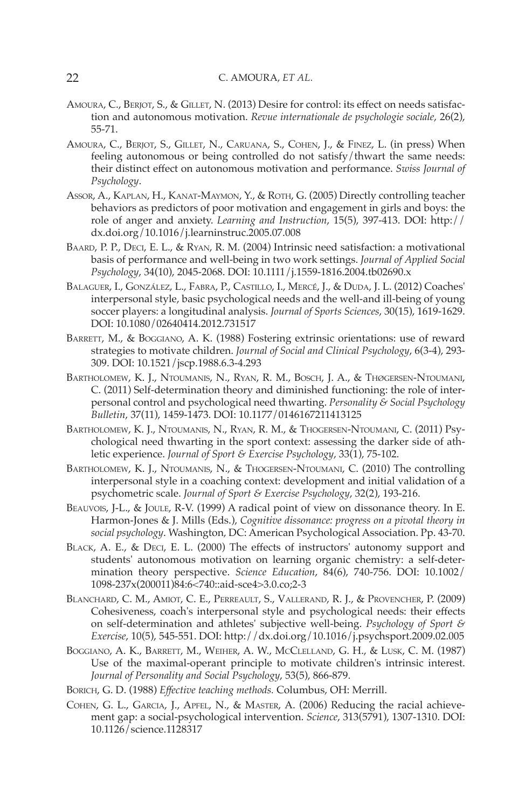### 22 C. AMOURA, *ET AL.*

- AMOURA, C., BERJOT, S., & GILLET, N. (2013) Desire for control: its effect on needs satisfaction and autonomous motivation. *Revue internationale de psychologie sociale*, 26(2), 55 - 71.
- AMOURA, C., BERJOT, S., GILLET, N., CARUANA, S., COHEN, J., & FINEZ, L. (in press) When feeling autonomous or being controlled do not satisfy/thwart the same needs: their distinct effect on autonomous motivation and performance. Swiss Journal of *Psychology* .
- Assor, A., KAPLAN, H., KANAT-MAYMON, Y., & ROTH, G. (2005) Directly controlling teacher behaviors as predictors of poor motivation and engagement in girls and boys: the role of anger and anxiety. *Learning and Instruction*, 15(5), 397-413. DOI: http:// dx.doi.org/10.1016/j.learninstruc.2005.07.008
- BAARD, P. P., DECI, E. L., & RYAN, R. M. (2004) Intrinsic need satisfaction: a motivational basis of performance and well-being in two work settings. *Journal of Applied Social*  Psychology, 34(10), 2045-2068. DOI: 10.1111/j.1559-1816.2004.tb02690.x
- BALAGUER, I., GONZÁLEZ, L., FABRA, P., CASTILLO, I., MERCÉ, J., & DUDA, J. L. (2012) Coaches' interpersonal style, basic psychological needs and the well-and ill-being of young soccer players: a longitudinal analysis. *Journal of Sports Sciences*, 30(15), 1619-1629. DOI: 10.1080/02640414.2012.731517
- BARRETT, M., & BOGGIANO, A. K. (1988) Fostering extrinsic orientations: use of reward strategies to motivate children. *Journal of Social and Clinical Psychology*, 6(3-4), 293-309 . DOI: 10.1521/jscp.1988.6.3-4.293
- BARTHOLOMEW, K. J., NTOUMANIS, N., RYAN, R. M., BOSCH, J. A., & THØGERSEN-NTOUMANI, C. ( 2011 ) Self-determination theory and diminished functioning: the role of interpersonal control and psychological need thwarting . *Personality & Social Psychology Bulletin* , 37 ( 11 ), 1459 - 1473 . DOI: 10.1177/0146167211413125
- BARTHOLOMEW, K. J., NTOUMANIS, N., RYAN, R. M., & THOGERSEN-NTOUMANI, C. (2011) Psychological need thwarting in the sport context: assessing the darker side of athletic experience. *Journal of Sport & Exercise Psychology*, 33(1), 75-102.
- BARTHOLOMEW, K. J., NTOUMANIS, N., & THOGERSEN-NTOUMANI, C. (2010) The controlling interpersonal style in a coaching context: development and initial validation of a psychometric scale. *Journal of Sport & Exercise Psychology*, 32(2), 193-216.
- BEAUVOIS, J-L., & JOULE, R-V. (1999) A radical point of view on dissonance theory. In E. Harmon-Jones & J. Mills (Eds.), *Cognitive dissonance: progress on a pivotal theory in*  social psychology. Washington, DC: American Psychological Association. Pp. 43-70.
- BLACK, A. E., & DECI, E. L. (2000) The effects of instructors' autonomy support and students' autonomous motivation on learning organic chemistry: a self-determination theory perspective. *Science Education*, 84(6), 740-756. DOI: 10.1002/ 1098-237x(200011)84:6<740::aid-sce4>3.0.co;2-3
- BLANCHARD, C. M., AMIOT, C. E., PERREAULT, S., VALLERAND, R. J., & PROVENCHER, P. (2009) Cohesiveness, coach's interpersonal style and psychological needs: their effects on self-determination and athletes' subjective well-being . *Psychology of Sport & Exercise*, 10(5), 545-551. DOI: http://dx.doi.org/10.1016/j.psychsport.2009.02.005
- BOGGIANO, A. K., BARRETT, M., WEIHER, A. W., MCCLELLAND, G. H., & LUSK, C. M. (1987) Use of the maximal-operant principle to motivate children's intrinsic interest. Journal of Personality and Social Psychology, 53(5), 866-879.
- BORICH, G. D. (1988) *Effective teaching methods*. Columbus, OH: Merrill.
- COHEN, G. L., GARCIA, J., APFEL, N., & MASTER, A. (2006) Reducing the racial achievement gap: a social-psychological intervention. Science, 313(5791), 1307-1310. DOI: 10.1126/science.1128317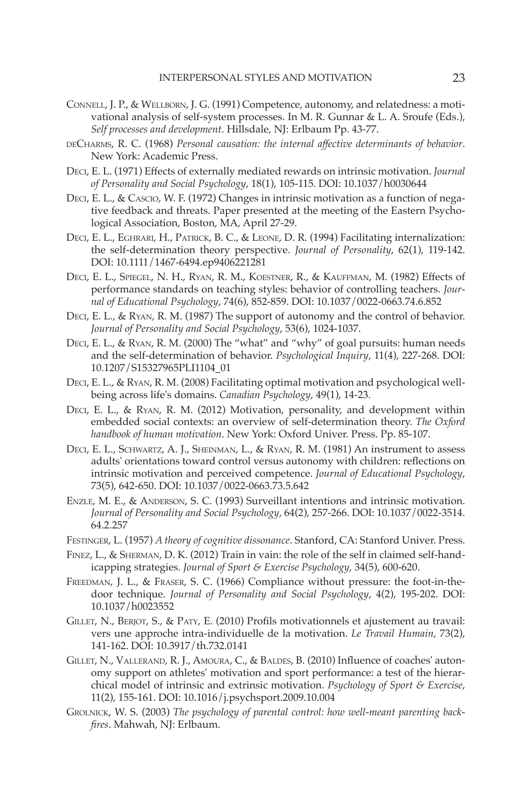- CONNELL , J. P. , & WELLBORN , J. G. ( 1991 ) Competence, autonomy, and relatedness: a motivational analysis of self-system processes . In M. R. Gunnar & L. A. Sroufe (Eds.), Self processes and development. Hillsdale, NJ: Erlbaum Pp. 43-77.
- DECHARMS , R. C. ( 1968 ) *Personal causation: the internal aff ective determinants of behavior* . New York: Academic Press.
- DECI, E. L. (1971) Effects of externally mediated rewards on intrinsic motivation. *Journal of Personality and Social Psychology* , 18 ( 1 ), 105 - 115 . DOI: 10.1037/h0030644
- DECI, E. L., & CASCIO, W. F. (1972) Changes in intrinsic motivation as a function of negative feedback and threats. Paper presented at the meeting of the Eastern Psychological Association, Boston, MA, April 27-29 .
- DECI, E. L., EGHRARI, H., PATRICK, B. C., & LEONE, D. R. (1994) Facilitating internalization: the self-determination theory perspective. *Journal of Personality*, 62(1), 119-142. DOI: 10.1111/1467-6494.ep9406221281
- DECI, E. L., SPIEGEL, N. H., RYAN, R. M., KOESTNER, R., & KAUFFMAN, M. (1982) Effects of performance standards on teaching styles: behavior of controlling teachers . *Journal of Educational Psychology* , 74 ( 6 ), 852 - 859 . DOI: 10.1037/0022-0663.74.6.852
- DECI, E. L., & RYAN, R. M. (1987) The support of autonomy and the control of behavior. Journal of Personality and Social Psychology, 53(6), 1024-1037.
- DECI, E. L., & RYAN, R. M. (2000) The "what" and "why" of goal pursuits: human needs and the self-determination of behavior. *Psychological Inquiry*, 11(4), 227-268. DOI: 10.1207/S15327965PLI1104\_01
- DECI, E. L., & RYAN, R. M. (2008) Facilitating optimal motivation and psychological wellbeing across life's domains. *Canadian Psychology*, 49(1), 14-23.
- DECI, E. L., & RYAN, R. M. (2012) Motivation, personality, and development within embedded social contexts: an overview of self-determination theory. *The Oxford* handbook of human motivation. New York: Oxford Univer. Press. Pp. 85-107.
- DECI, E. L., SCHWARTZ, A. J., SHEINMAN, L., & RYAN, R. M. (1981) An instrument to assess adults' orientations toward control versus autonomy with children: reflections on intrinsic motivation and perceived competence . *Journal of Educational Psychology* , 73(5), 642-650. DOI: 10.1037 / 0022-0663.73.5.642
- ENZLE, M. E., & ANDERSON, S. C. (1993) Surveillant intentions and intrinsic motivation. Journal of Personality and Social Psychology, 64(2), 257-266. DOI: 10.1037 / 0022-3514. 64.2.257
- FESTINGER , L. ( 1957 ) *A theory of cognitive dissonance* . Stanford, CA : Stanford Univer. Press .
- FINEZ, L., & SHERMAN, D. K. (2012) Train in vain: the role of the self in claimed self-handicapping strategies. *Journal of Sport & Exercise Psychology*, 34(5), 600-620.
- FREEDMAN, J. L., & FRASER, S. C. (1966) Compliance without pressure: the foot-in-thedoor technique. *Journal of Personality and Social Psychology*, 4(2), 195-202. DOI: 10.1037/h0023552
- GILLET, N., BERJOT, S., & PATY, E. (2010) Profils motivationnels et ajustement au travail: vers une approche intra-individuelle de la motivation. *Le Travail Humain*, 73(2), 141-162. DOI: 10.3917/th.732.0141
- GILLET, N., VALLERAND, R. J., AMOURA, C., & BALDES, B. (2010) Influence of coaches' autonomy support on athletes' motivation and sport performance: a test of the hierarchical model of intrinsic and extrinsic motivation . *Psychology of Sport & Exercise* , 11(2), 155-161. DOI: 10.1016/j.psychsport.2009.10.004
- GROLNICK, W. S. (2003) The psychology of parental control: how well-meant parenting back*fires*. Mahwah, NJ: Erlbaum.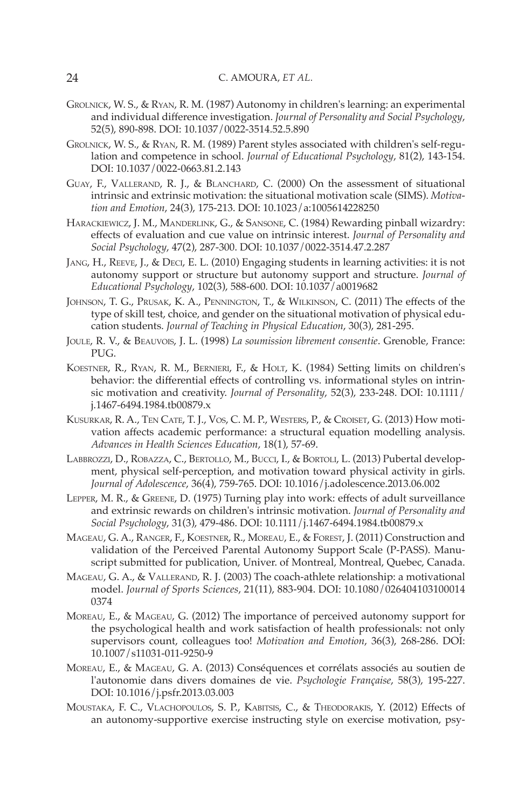- GROLNICK , W. S. , & RYAN , R. M. ( 1987 ) Autonomy in children's learning: an experimental and individual difference investigation. *Journal of Personality and Social Psychology*, 52(5), 890-898. DOI: 10.1037 / 0022-3514.52.5.890
- GROLNICK, W. S., & RYAN, R. M. (1989) Parent styles associated with children's self-regulation and competence in school. *Journal of Educational Psychology*, 81(2), 143-154. DOI: 10.1037/0022-0663.81.2.143
- GUAY, F., VALLERAND, R. J., & BLANCHARD, C. (2000) On the assessment of situational intrinsic and extrinsic motivation: the situational motivation scale (SIMS) . *Motiva*tion and Emotion, 24(3), 175-213. DOI: 10.1023/a:1005614228250
- HARACKIEWICZ, J. M., MANDERLINK, G., & SANSONE, C. (1984) Rewarding pinball wizardry: effects of evaluation and cue value on intrinsic interest. *Journal of Personality and* Social Psychology, 47(2), 287-300. DOI: 10.1037 / 0022-3514.47.2.287
- JANG, H., REEVE, J., & DECI, E. L. (2010) Engaging students in learning activities: it is not autonomy support or structure but autonomy support and structure . *Journal of Educational Psychology* , 102 ( 3 ), 588 - 600 . DOI: 10.1037/a0019682
- JOHNSON, T. G., PRUSAK, K. A., PENNINGTON, T., & WILKINSON, C. (2011) The effects of the type of skill test, choice, and gender on the situational motivation of physical education students. *Journal of Teaching in Physical Education*, 30(3), 281-295.
- JOULE , R. V. , & BEAUVOIS , J. L. ( 1998 ) *La soumission librement consentie* . Grenoble, France : PUG.
- KOESTNER, R., RYAN, R. M., BERNIERI, F., & HOLT, K. (1984) Setting limits on children's behavior: the differential effects of controlling vs. informational styles on intrinsic motivation and creativity. *Journal of Personality*, 52(3), 233-248. DOI: 10.1111/ j.1467-6494.1984.tb00879.x
- KUSURKAR, R. A., TEN CATE, T. J., VOS, C. M. P., WESTERS, P., & CROISET, G. (2013) How motivation affects academic performance: a structural equation modelling analysis. Advances in Health Sciences Education, 18(1), 57-69.
- LABBROZZI, D., ROBAZZA, C., BERTOLLO, M., BUCCI, I., & BORTOLI, L. (2013) Pubertal development, physical self-perception, and motivation toward physical activity in girls. *Journal of Adolescence, 36(4), 759-765. DOI: 10.1016/j.adolescence.2013.06.002*
- LEPPER, M. R., & GREENE, D. (1975) Turning play into work: effects of adult surveillance and extrinsic rewards on children's intrinsic motivation . *Journal of Personality and Social Psychology* , 31 ( 3 ), 479 - 486 . DOI: 10.1111/j.1467-6494.1984.tb00879.x
- MAGEAU, G. A., RANGER, F., KOESTNER, R., MOREAU, E., & FOREST, J. (2011) Construction and validation of the Perceived Parental Autonomy Support Scale (P-PASS) . Manuscript submitted for publication, Univer. of Montreal, Montreal, Ouebec, Canada.
- MAGEAU, G. A., & VALLERAND, R. J. (2003) The coach-athlete relationship: a motivational model . *Journal of Sports Sciences* , 21 ( 11 ), 883 - 904 . DOI: 10.1080/026404103100014 0374
- MOREAU, E., & MAGEAU, G. (2012) The importance of perceived autonomy support for the psychological health and work satisfaction of health professionals: not only supervisors count, colleagues too! *Motivation and Emotion*, 36(3), 268-286. DOI: 10.1007/s11031-011-9250-9
- MOREAU, E., & MAGEAU, G. A. (2013) Conséquences et corrélats associés au soutien de l'autonomie dans divers domaines de vie. *Psychologie Française*, 58(3), 195-227. DOI: 10.1016/j.psfr.2013.03.003
- MOUSTAKA, F. C., VLACHOPOULOS, S. P., KABITSIS, C., & THEODORAKIS, Y. (2012) Effects of an autonomy-supportive exercise instructing style on exercise motivation, psy-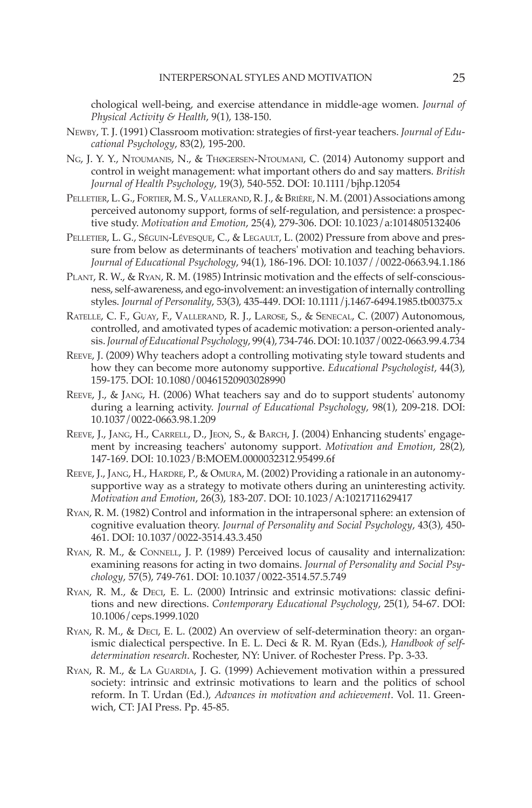chological well-being, and exercise attendance in middle-age women. *Journal of Physical Activity & Health*, 9(1), 138-150.

- NEWBY, T. J. (1991) Classroom motivation: strategies of first-year teachers. *Journal of Educational Psychology*, 83(2), 195-200.
- NG, J. Y. Y., NTOUMANIS, N., & THØGERSEN-NTOUMANI, C. (2014) Autonomy support and control in weight management: what important others do and say matters. *British Journal of Health Psychology*, 19(3), 540-552. DOI: 10.1111 / bjhp.12054
- PELLETIER, L. G., FORTIER, M. S., VALLERAND, R. J., & BRIÈRE, N. M. (2001) Associations among perceived autonomy support, forms of self-regulation, and persistence: a prospective study. *Motivation and Emotion*, 25(4), 279-306. DOI: 10.1023/a:1014805132406
- PELLETIER, L. G., SÉGUIN-LÉVESQUE, C., & LEGAULT, L. (2002) Pressure from above and pressure from below as determinants of teachers' motivation and teaching behaviors . *Journal of Educational Psychology* , 94 ( 1 ), 186 - 196 . DOI: 10.1037//0022-0663.94.1.186
- PLANT, R. W., & RYAN, R. M. (1985) Intrinsic motivation and the effects of self-consciousness, self-awareness, and ego-involvement: an investigation of internally controlling styles. *Journal of Personality*, 53(3), 435-449. DOI: 10.1111/j.1467-6494.1985.tb00375.x
- RATELLE, C. F., GUAY, F., VALLERAND, R. J., LAROSE, S., & SENECAL, C. (2007) Autonomous, controlled, and amotivated types of academic motivation: a person-oriented analysis . *Journal of Educational Psychology* , 99 ( 4 ), 734 - 746 . DOI: 10.1037/0022-0663.99.4.734
- REEVE, J. (2009) Why teachers adopt a controlling motivating style toward students and how they can become more autonomy supportive. *Educational Psychologist*, 44(3), 159 - 175 . DOI: 10.1080/00461520903028990
- REEVE, J., & JANG, H. (2006) What teachers say and do to support students' autonomy during a learning activity. *Journal of Educational Psychology*, 98(1), 209-218. DOI: 10.1037/0022-0663.98.1.209
- REEVE, J., JANG, H., CARRELL, D., JEON, S., & BARCH, J. (2004) Enhancing students' engagement by increasing teachers' autonomy support. *Motivation and Emotion*, 28(2), 147 - 169 . DOI: 10.1023/B:MOEM.0000032312.95499.6f
- REEVE, J., JANG, H., HARDRE, P., & OMURA, M. (2002) Providing a rationale in an autonomysupportive way as a strategy to motivate others during an uninteresting activity. *Motivation and Emotion, 26(3), 183-207. DOI: 10.1023/A:1021711629417*
- RYAN, R. M. (1982) Control and information in the intrapersonal sphere: an extension of cognitive evaluation theory. *Journal of Personality and Social Psychology*, 43(3), 450-461 . DOI: 10.1037/0022-3514.43.3.450
- RYAN, R. M., & CONNELL, J. P. (1989) Perceived locus of causality and internalization: examining reasons for acting in two domains . *Journal of Personality and Social Psychology* , 57 ( 5 ), 749 - 761 . DOI: 10.1037/0022-3514.57.5.749
- RYAN, R. M., & DECI, E. L. (2000) Intrinsic and extrinsic motivations: classic definitions and new directions. *Contemporary Educational Psychology*, 25(1), 54-67. DOI: 10.1006/ceps.1999.1020
- RYAN, R. M., & DECI, E. L. (2002) An overview of self-determination theory: an organismic dialectical perspective . In E. L. Deci & R. M. Ryan (Eds.), *Handbook of self*determination research. Rochester, NY: Univer. of Rochester Press. Pp. 3-33.
- RYAN, R. M., & LA GUARDIA, J. G. (1999) Achievement motivation within a pressured society: intrinsic and extrinsic motivations to learn and the politics of school reform. In T. Urdan (Ed.), *Advances in motivation and achievement*. Vol. 11. Greenwich, CT: JAI Press. Pp. 45-85.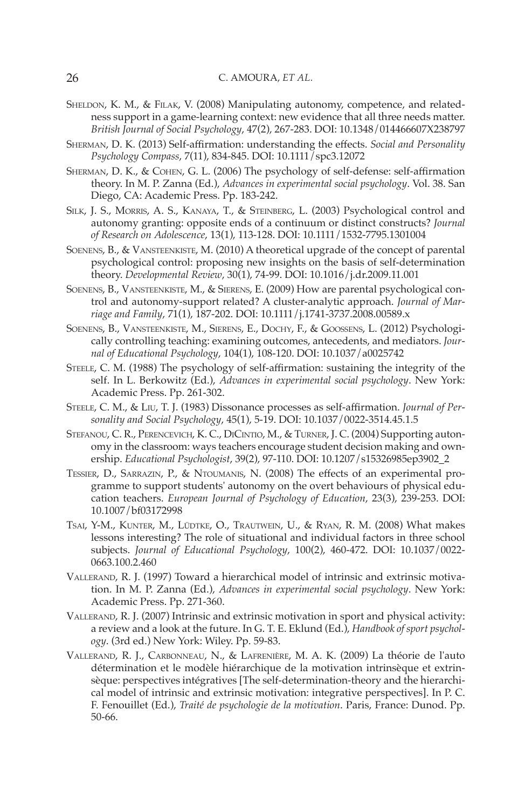- SHELDON, K. M., & FILAK, V. (2008) Manipulating autonomy, competence, and relatedness support in a game-learning context: new evidence that all three needs matter . *British Journal of Social Psychology* , 47 ( 2 ), 267 - 283 . DOI: 10.1348/014466607X238797
- SHERMAN, D. K. (2013) Self-affirmation: understanding the effects. *Social and Personality* Psychology Compass, 7(11), 834-845. DOI: 10.1111 / spc3.12072
- SHERMAN, D. K., & COHEN, G. L. (2006) The psychology of self-defense: self-affirmation theory . In M. P. Zanna (Ed.), *Advances in experimental social psychology* . Vol. 38 . San Diego, CA: Academic Press. Pp. 183-242.
- SILK, J. S., MORRIS, A. S., KANAYA, T., & STEINBERG, L. (2003) Psychological control and autonomy granting: opposite ends of a continuum or distinct constructs? *Journal*  of Research on Adolescence, 13(1), 113-128. DOI: 10.1111 / 1532-7795.1301004
- SOENENS, B., & VANSTEENKISTE, M. (2010) A theoretical upgrade of the concept of parental psychological control: proposing new insights on the basis of self-determination theory. *Developmental Review*, 30(1), 74-99. DOI: 10.1016/j.dr.2009.11.001
- SOENENS, B., VANSTEENKISTE, M., & SIERENS, E. (2009) How are parental psychological control and autonomy-support related? A cluster-analytic approach . *Journal of Mar*riage and Family, 71(1), 187-202. DOI: 10.1111 /j.1741-3737.2008.00589.x
- SOENENS, B., VANSTEENKISTE, M., SIERENS, E., DOCHY, F., & GOOSSENS, L. (2012) Psychologically controlling teaching: examining outcomes, antecedents, and mediators . *Journal of Educational Psychology* , 104 ( 1 ), 108 - 120 . DOI: 10.1037/a0025742
- STEELE, C. M. (1988) The psychology of self-affirmation: sustaining the integrity of the self. In L. Berkowitz (Ed.), *Advances in experimental social psychology*. New York: Academic Press. Pp. 261-302.
- STEELE, C. M., & LIU, T. J. (1983) Dissonance processes as self-affirmation. *Journal of Personality and Social Psychology* , 45 ( 1 ), 5 - 19 . DOI: 10.1037/0022-3514.45.1.5
- STEFANOU, C. R., PERENCEVICH, K. C., DICINTIO, M., & TURNER, J. C. (2004) Supporting autonomy in the classroom: ways teachers encourage student decision making and ownership . *Educational Psychologist* , 39 ( 2 ), 97 - 110 . DOI: 10.1207/s15326985ep3902\_2
- TESSIER, D., SARRAZIN, P., & NTOUMANIS, N. (2008) The effects of an experimental programme to support students' autonomy on the overt behaviours of physical education teachers. *European Journal of Psychology of Education*, 23(3), 239-253. DOI: 10.1007/bf03172998
- TSAI, Y-M., KUNTER, M., LÜDTKE, O., TRAUTWEIN, U., & RYAN, R. M. (2008) What makes lessons interesting? The role of situational and individual factors in three school subjects. *Journal of Educational Psychology*, 100(2), 460-472. DOI: 10.1037/0022-0663.100.2.460
- VALLERAND, R. J. (1997) Toward a hierarchical model of intrinsic and extrinsic motivation . In M. P. Zanna (Ed.), *Advances in experimental social psychology* . New York : Academic Press. Pp. 271-360.
- VALLERAND, R. J. (2007) Intrinsic and extrinsic motivation in sport and physical activity: a review and a look at the future . In G. T. E. Eklund (Ed.), *Handbook of sport psychol*ogy. (3rd ed.) New York: Wiley. Pp. 59-83.
- VALLERAND, R. J., CARBONNEAU, N., & LAFRENIÈRE, M. A. K. (2009) La théorie de l'auto détermination et le modèle hiérarchique de la motivation intrinsèque et extrinsèque: perspectives intégratives [The self-determination-theory and the hierarchical model of intrinsic and extrinsic motivation: integrative perspectives] . In P. C. F. Fenouillet (Ed.), *Traité de psychologie de la motivation* . Paris, France : Dunod . Pp. 50 - 66.